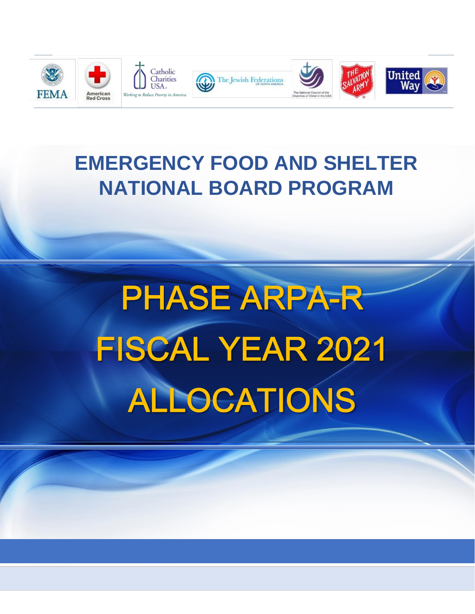

## **EMERGENCY FOOD AND SHELTER NATIONAL BOARD PROGRAM**

# **PHASE ARPA-R** FISCAL YEAR 2021 ALLOCATIONS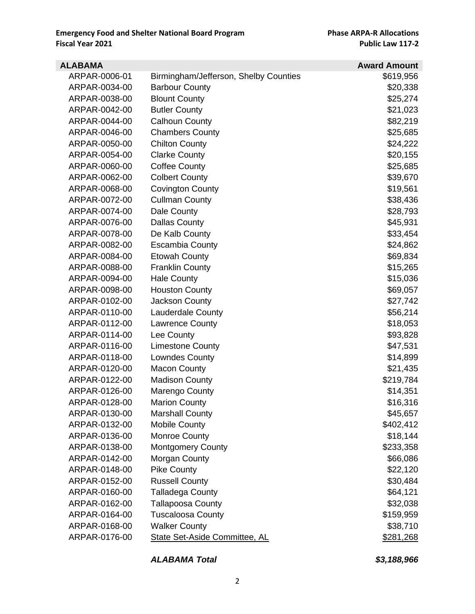| <b>ALABAMA</b> |                                       | <b>Award Amount</b> |
|----------------|---------------------------------------|---------------------|
| ARPAR-0006-01  | Birmingham/Jefferson, Shelby Counties | \$619,956           |
| ARPAR-0034-00  | <b>Barbour County</b>                 | \$20,338            |
| ARPAR-0038-00  | <b>Blount County</b>                  | \$25,274            |
| ARPAR-0042-00  | <b>Butler County</b>                  | \$21,023            |
| ARPAR-0044-00  | <b>Calhoun County</b>                 | \$82,219            |
| ARPAR-0046-00  | <b>Chambers County</b>                | \$25,685            |
| ARPAR-0050-00  | <b>Chilton County</b>                 | \$24,222            |
| ARPAR-0054-00  | <b>Clarke County</b>                  | \$20,155            |
| ARPAR-0060-00  | <b>Coffee County</b>                  | \$25,685            |
| ARPAR-0062-00  | <b>Colbert County</b>                 | \$39,670            |
| ARPAR-0068-00  | <b>Covington County</b>               | \$19,561            |
| ARPAR-0072-00  | <b>Cullman County</b>                 | \$38,436            |
| ARPAR-0074-00  | Dale County                           | \$28,793            |
| ARPAR-0076-00  | <b>Dallas County</b>                  | \$45,931            |
| ARPAR-0078-00  | De Kalb County                        | \$33,454            |
| ARPAR-0082-00  | <b>Escambia County</b>                | \$24,862            |
| ARPAR-0084-00  | <b>Etowah County</b>                  | \$69,834            |
| ARPAR-0088-00  | <b>Franklin County</b>                | \$15,265            |
| ARPAR-0094-00  | <b>Hale County</b>                    | \$15,036            |
| ARPAR-0098-00  | <b>Houston County</b>                 | \$69,057            |
| ARPAR-0102-00  | Jackson County                        | \$27,742            |
| ARPAR-0110-00  | <b>Lauderdale County</b>              | \$56,214            |
| ARPAR-0112-00  | <b>Lawrence County</b>                | \$18,053            |
| ARPAR-0114-00  | Lee County                            | \$93,828            |
| ARPAR-0116-00  | <b>Limestone County</b>               | \$47,531            |
| ARPAR-0118-00  | Lowndes County                        | \$14,899            |
| ARPAR-0120-00  | <b>Macon County</b>                   | \$21,435            |
| ARPAR-0122-00  | <b>Madison County</b>                 | \$219,784           |
| ARPAR-0126-00  | Marengo County                        | \$14,351            |
| ARPAR-0128-00  | <b>Marion County</b>                  | \$16,316            |
| ARPAR-0130-00  | Marshall County                       | \$45,657            |
| ARPAR-0132-00  | <b>Mobile County</b>                  | \$402,412           |
| ARPAR-0136-00  | <b>Monroe County</b>                  | \$18,144            |
| ARPAR-0138-00  | <b>Montgomery County</b>              | \$233,358           |
| ARPAR-0142-00  | Morgan County                         | \$66,086            |
| ARPAR-0148-00  | <b>Pike County</b>                    | \$22,120            |
| ARPAR-0152-00  | <b>Russell County</b>                 | \$30,484            |
| ARPAR-0160-00  | <b>Talladega County</b>               | \$64,121            |
| ARPAR-0162-00  | <b>Tallapoosa County</b>              | \$32,038            |
| ARPAR-0164-00  | <b>Tuscaloosa County</b>              | \$159,959           |
| ARPAR-0168-00  | <b>Walker County</b>                  | \$38,710            |
| ARPAR-0176-00  | <b>State Set-Aside Committee, AL</b>  | \$281,268           |

#### *ALABAMA Total \$3,188,966*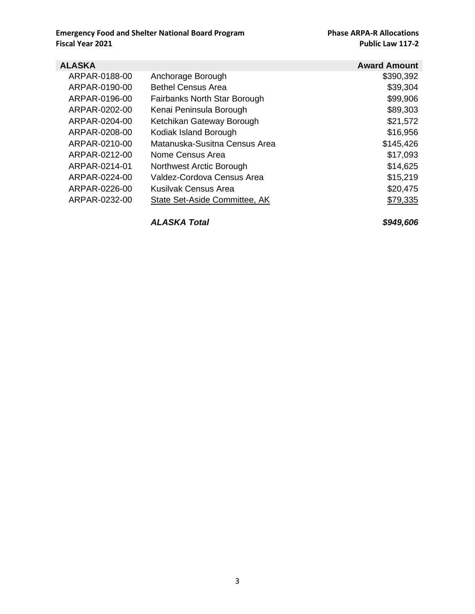| <b>ALASKA</b> |                               | <b>Award Amount</b> |
|---------------|-------------------------------|---------------------|
| ARPAR-0188-00 | Anchorage Borough             | \$390,392           |
| ARPAR-0190-00 | <b>Bethel Census Area</b>     | \$39,304            |
| ARPAR-0196-00 | Fairbanks North Star Borough  | \$99,906            |
| ARPAR-0202-00 | Kenai Peninsula Borough       | \$89,303            |
| ARPAR-0204-00 | Ketchikan Gateway Borough     | \$21,572            |
| ARPAR-0208-00 | Kodiak Island Borough         | \$16,956            |
| ARPAR-0210-00 | Matanuska-Susitna Census Area | \$145,426           |
| ARPAR-0212-00 | Nome Census Area              | \$17,093            |
| ARPAR-0214-01 | Northwest Arctic Borough      | \$14,625            |
| ARPAR-0224-00 | Valdez-Cordova Census Area    | \$15,219            |
| ARPAR-0226-00 | Kusilvak Census Area          | \$20,475            |
| ARPAR-0232-00 | State Set-Aside Committee, AK | \$79,335            |
|               |                               |                     |

*ALASKA Total \$949,606*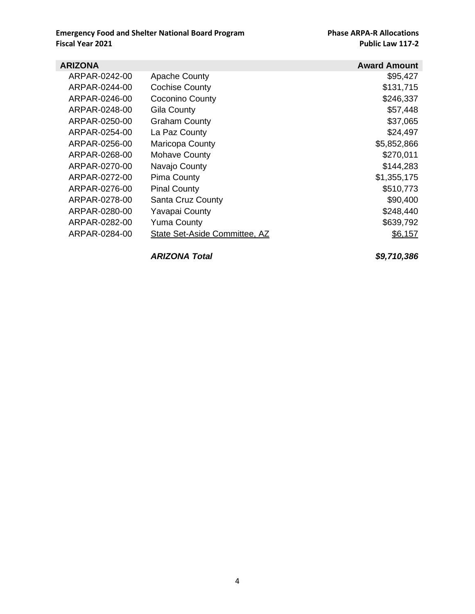| <b>ARIZONA</b> |                               | <b>Award Amount</b> |
|----------------|-------------------------------|---------------------|
| ARPAR-0242-00  | <b>Apache County</b>          | \$95,427            |
| ARPAR-0244-00  | <b>Cochise County</b>         | \$131,715           |
| ARPAR-0246-00  | <b>Coconino County</b>        | \$246,337           |
| ARPAR-0248-00  | <b>Gila County</b>            | \$57,448            |
| ARPAR-0250-00  | <b>Graham County</b>          | \$37,065            |
| ARPAR-0254-00  | La Paz County                 | \$24,497            |
| ARPAR-0256-00  | Maricopa County               | \$5,852,866         |
| ARPAR-0268-00  | <b>Mohave County</b>          | \$270,011           |
| ARPAR-0270-00  | Navajo County                 | \$144,283           |
| ARPAR-0272-00  | <b>Pima County</b>            | \$1,355,175         |
| ARPAR-0276-00  | <b>Pinal County</b>           | \$510,773           |
| ARPAR-0278-00  | Santa Cruz County             | \$90,400            |
| ARPAR-0280-00  | <b>Yavapai County</b>         | \$248,440           |
| ARPAR-0282-00  | <b>Yuma County</b>            | \$639,792           |
| ARPAR-0284-00  | State Set-Aside Committee, AZ | \$6,157             |

*ARIZONA Total \$9,710,386*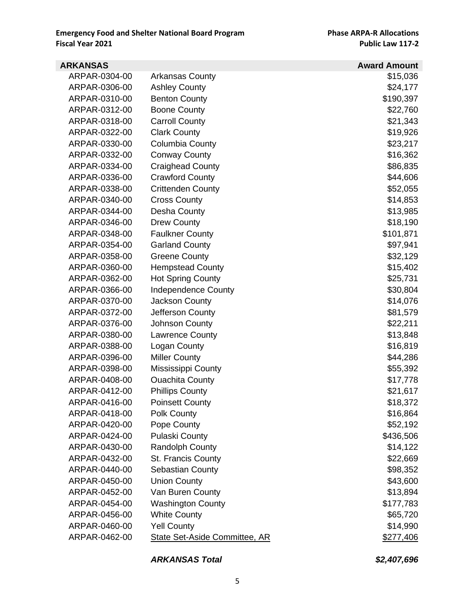| <b>ARKANSAS</b> |                                      | <b>Award Amount</b> |
|-----------------|--------------------------------------|---------------------|
| ARPAR-0304-00   | Arkansas County                      | \$15,036            |
| ARPAR-0306-00   | <b>Ashley County</b>                 | \$24,177            |
| ARPAR-0310-00   | <b>Benton County</b>                 | \$190,397           |
| ARPAR-0312-00   | <b>Boone County</b>                  | \$22,760            |
| ARPAR-0318-00   | <b>Carroll County</b>                | \$21,343            |
| ARPAR-0322-00   | <b>Clark County</b>                  | \$19,926            |
| ARPAR-0330-00   | Columbia County                      | \$23,217            |
| ARPAR-0332-00   | <b>Conway County</b>                 | \$16,362            |
| ARPAR-0334-00   | <b>Craighead County</b>              | \$86,835            |
| ARPAR-0336-00   | <b>Crawford County</b>               | \$44,606            |
| ARPAR-0338-00   | <b>Crittenden County</b>             | \$52,055            |
| ARPAR-0340-00   | <b>Cross County</b>                  | \$14,853            |
| ARPAR-0344-00   | Desha County                         | \$13,985            |
| ARPAR-0346-00   | <b>Drew County</b>                   | \$18,190            |
| ARPAR-0348-00   | <b>Faulkner County</b>               | \$101,871           |
| ARPAR-0354-00   | <b>Garland County</b>                | \$97,941            |
| ARPAR-0358-00   | <b>Greene County</b>                 | \$32,129            |
| ARPAR-0360-00   | <b>Hempstead County</b>              | \$15,402            |
| ARPAR-0362-00   | <b>Hot Spring County</b>             | \$25,731            |
| ARPAR-0366-00   | <b>Independence County</b>           | \$30,804            |
| ARPAR-0370-00   | Jackson County                       | \$14,076            |
| ARPAR-0372-00   | Jefferson County                     | \$81,579            |
| ARPAR-0376-00   | <b>Johnson County</b>                | \$22,211            |
| ARPAR-0380-00   | Lawrence County                      | \$13,848            |
| ARPAR-0388-00   | Logan County                         | \$16,819            |
| ARPAR-0396-00   | <b>Miller County</b>                 | \$44,286            |
| ARPAR-0398-00   | Mississippi County                   | \$55,392            |
| ARPAR-0408-00   | <b>Ouachita County</b>               | \$17,778            |
| ARPAR-0412-00   | <b>Phillips County</b>               | \$21,617            |
| ARPAR-0416-00   | <b>Poinsett County</b>               | \$18,372            |
| ARPAR-0418-00   | Polk County                          | \$16,864            |
| ARPAR-0420-00   | Pope County                          | \$52,192            |
| ARPAR-0424-00   | <b>Pulaski County</b>                | \$436,506           |
| ARPAR-0430-00   | <b>Randolph County</b>               | \$14,122            |
| ARPAR-0432-00   | St. Francis County                   | \$22,669            |
| ARPAR-0440-00   | Sebastian County                     | \$98,352            |
| ARPAR-0450-00   | <b>Union County</b>                  | \$43,600            |
| ARPAR-0452-00   | Van Buren County                     | \$13,894            |
| ARPAR-0454-00   | <b>Washington County</b>             | \$177,783           |
| ARPAR-0456-00   | <b>White County</b>                  | \$65,720            |
| ARPAR-0460-00   | <b>Yell County</b>                   | \$14,990            |
| ARPAR-0462-00   | <b>State Set-Aside Committee, AR</b> | \$277,406           |

#### *ARKANSAS Total \$2,407,696*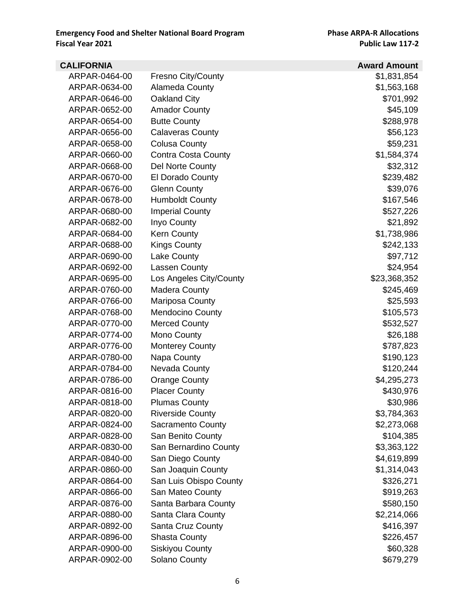| <b>CALIFORNIA</b> |                           | <b>Award Amount</b> |
|-------------------|---------------------------|---------------------|
| ARPAR-0464-00     | <b>Fresno City/County</b> | \$1,831,854         |
| ARPAR-0634-00     | Alameda County            | \$1,563,168         |
| ARPAR-0646-00     | Oakland City              | \$701,992           |
| ARPAR-0652-00     | <b>Amador County</b>      | \$45,109            |
| ARPAR-0654-00     | <b>Butte County</b>       | \$288,978           |
| ARPAR-0656-00     | <b>Calaveras County</b>   | \$56,123            |
| ARPAR-0658-00     | Colusa County             | \$59,231            |
| ARPAR-0660-00     | Contra Costa County       | \$1,584,374         |
| ARPAR-0668-00     | Del Norte County          | \$32,312            |
| ARPAR-0670-00     | El Dorado County          | \$239,482           |
| ARPAR-0676-00     | <b>Glenn County</b>       | \$39,076            |
| ARPAR-0678-00     | <b>Humboldt County</b>    | \$167,546           |
| ARPAR-0680-00     | <b>Imperial County</b>    | \$527,226           |
| ARPAR-0682-00     | Inyo County               | \$21,892            |
| ARPAR-0684-00     | <b>Kern County</b>        | \$1,738,986         |
| ARPAR-0688-00     | <b>Kings County</b>       | \$242,133           |
| ARPAR-0690-00     | <b>Lake County</b>        | \$97,712            |
| ARPAR-0692-00     | <b>Lassen County</b>      | \$24,954            |
| ARPAR-0695-00     | Los Angeles City/County   | \$23,368,352        |
| ARPAR-0760-00     | <b>Madera County</b>      | \$245,469           |
| ARPAR-0766-00     | Mariposa County           | \$25,593            |
| ARPAR-0768-00     | <b>Mendocino County</b>   | \$105,573           |
| ARPAR-0770-00     | <b>Merced County</b>      | \$532,527           |
| ARPAR-0774-00     | Mono County               | \$26,188            |
| ARPAR-0776-00     | <b>Monterey County</b>    | \$787,823           |
| ARPAR-0780-00     | Napa County               | \$190,123           |
| ARPAR-0784-00     | Nevada County             | \$120,244           |
| ARPAR-0786-00     | <b>Orange County</b>      | \$4,295,273         |
| ARPAR-0816-00     | <b>Placer County</b>      | \$430,976           |
| ARPAR-0818-00     | <b>Plumas County</b>      | \$30,986            |
| ARPAR-0820-00     | <b>Riverside County</b>   | \$3,784,363         |
| ARPAR-0824-00     | Sacramento County         | \$2,273,068         |
| ARPAR-0828-00     | San Benito County         | \$104,385           |
| ARPAR-0830-00     | San Bernardino County     | \$3,363,122         |
| ARPAR-0840-00     | San Diego County          | \$4,619,899         |
| ARPAR-0860-00     | San Joaquin County        | \$1,314,043         |
| ARPAR-0864-00     | San Luis Obispo County    | \$326,271           |
| ARPAR-0866-00     | San Mateo County          | \$919,263           |
| ARPAR-0876-00     | Santa Barbara County      | \$580,150           |
| ARPAR-0880-00     | Santa Clara County        | \$2,214,066         |
| ARPAR-0892-00     | Santa Cruz County         | \$416,397           |
| ARPAR-0896-00     | <b>Shasta County</b>      | \$226,457           |
| ARPAR-0900-00     | <b>Siskiyou County</b>    | \$60,328            |
| ARPAR-0902-00     | Solano County             | \$679,279           |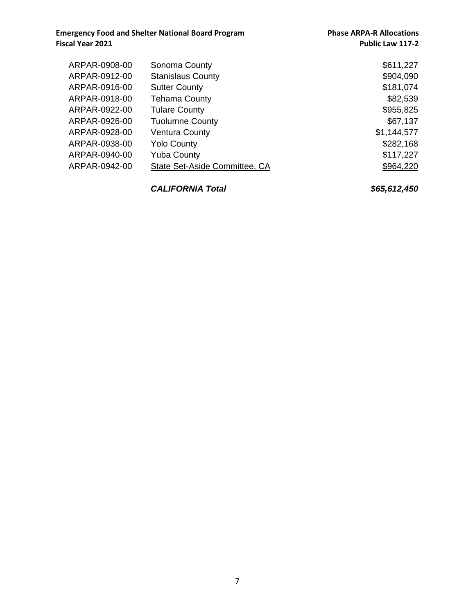| ARPAR-0908-00 | Sonoma County                 | \$611,227   |
|---------------|-------------------------------|-------------|
| ARPAR-0912-00 | <b>Stanislaus County</b>      | \$904,090   |
| ARPAR-0916-00 | <b>Sutter County</b>          | \$181,074   |
| ARPAR-0918-00 | <b>Tehama County</b>          | \$82,539    |
| ARPAR-0922-00 | <b>Tulare County</b>          | \$955,825   |
| ARPAR-0926-00 | <b>Tuolumne County</b>        | \$67,137    |
| ARPAR-0928-00 | <b>Ventura County</b>         | \$1,144,577 |
| ARPAR-0938-00 | <b>Yolo County</b>            | \$282,168   |
| ARPAR-0940-00 | <b>Yuba County</b>            | \$117,227   |
| ARPAR-0942-00 | State Set-Aside Committee, CA | \$964,220   |
|               |                               |             |

*CALIFORNIA Total \$65,612,450*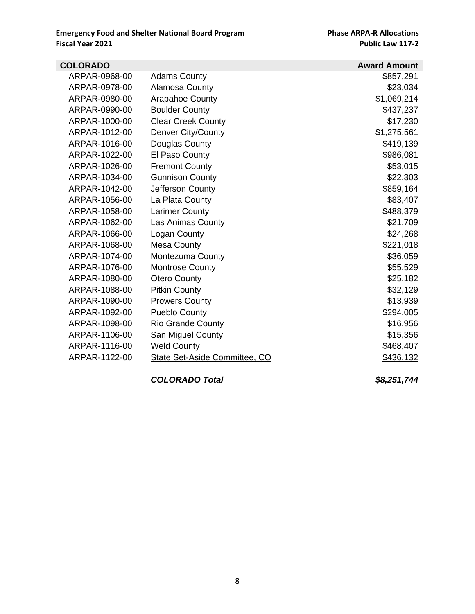| <b>COLORADO</b> |                               | <b>Award Amount</b> |
|-----------------|-------------------------------|---------------------|
| ARPAR-0968-00   | <b>Adams County</b>           | \$857,291           |
| ARPAR-0978-00   | Alamosa County                | \$23,034            |
| ARPAR-0980-00   | Arapahoe County               | \$1,069,214         |
| ARPAR-0990-00   | <b>Boulder County</b>         | \$437,237           |
| ARPAR-1000-00   | <b>Clear Creek County</b>     | \$17,230            |
| ARPAR-1012-00   | Denver City/County            | \$1,275,561         |
| ARPAR-1016-00   | Douglas County                | \$419,139           |
| ARPAR-1022-00   | El Paso County                | \$986,081           |
| ARPAR-1026-00   | <b>Fremont County</b>         | \$53,015            |
| ARPAR-1034-00   | <b>Gunnison County</b>        | \$22,303            |
| ARPAR-1042-00   | Jefferson County              | \$859,164           |
| ARPAR-1056-00   | La Plata County               | \$83,407            |
| ARPAR-1058-00   | <b>Larimer County</b>         | \$488,379           |
| ARPAR-1062-00   | Las Animas County             | \$21,709            |
| ARPAR-1066-00   | Logan County                  | \$24,268            |
| ARPAR-1068-00   | <b>Mesa County</b>            | \$221,018           |
| ARPAR-1074-00   | <b>Montezuma County</b>       | \$36,059            |
| ARPAR-1076-00   | <b>Montrose County</b>        | \$55,529            |
| ARPAR-1080-00   | <b>Otero County</b>           | \$25,182            |
| ARPAR-1088-00   | <b>Pitkin County</b>          | \$32,129            |
| ARPAR-1090-00   | <b>Prowers County</b>         | \$13,939            |
| ARPAR-1092-00   | <b>Pueblo County</b>          | \$294,005           |
| ARPAR-1098-00   | <b>Rio Grande County</b>      | \$16,956            |
| ARPAR-1106-00   | San Miguel County             | \$15,356            |
| ARPAR-1116-00   | <b>Weld County</b>            | \$468,407           |
| ARPAR-1122-00   | State Set-Aside Committee, CO | \$436,132           |
|                 |                               |                     |

*COLORADO Total \$8,251,744*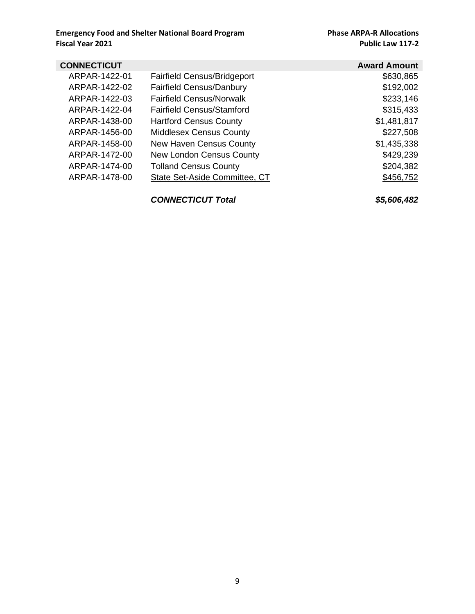| <b>CONNECTICUT</b> |                                      | <b>Award Amount</b> |
|--------------------|--------------------------------------|---------------------|
| ARPAR-1422-01      | <b>Fairfield Census/Bridgeport</b>   | \$630,865           |
| ARPAR-1422-02      | <b>Fairfield Census/Danbury</b>      | \$192,002           |
| ARPAR-1422-03      | <b>Fairfield Census/Norwalk</b>      | \$233,146           |
| ARPAR-1422-04      | <b>Fairfield Census/Stamford</b>     | \$315,433           |
| ARPAR-1438-00      | <b>Hartford Census County</b>        | \$1,481,817         |
| ARPAR-1456-00      | <b>Middlesex Census County</b>       | \$227,508           |
| ARPAR-1458-00      | <b>New Haven Census County</b>       | \$1,435,338         |
| ARPAR-1472-00      | <b>New London Census County</b>      | \$429,239           |
| ARPAR-1474-00      | <b>Tolland Census County</b>         | \$204,382           |
| ARPAR-1478-00      | <b>State Set-Aside Committee, CT</b> | \$456,752           |
|                    |                                      |                     |

#### *CONNECTICUT Total \$5,606,482*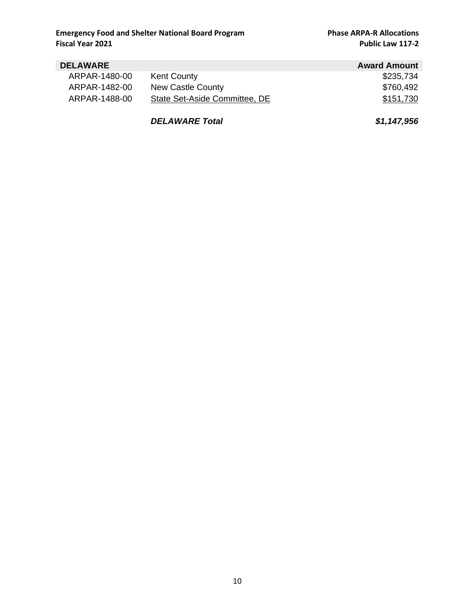#### **DELAWARE AWARE AWARE AWARE ARPAR-1480-00 Kent County AWALLE 1999 12:55,734** ARPAR-1480-00 Kent County **\$235,734** ARPAR-1482-00 New Castle County **\$760,492** ARPAR-1488-00 State Set-Aside Committee, DE \$151,730

*DELAWARE Total \$1,147,956*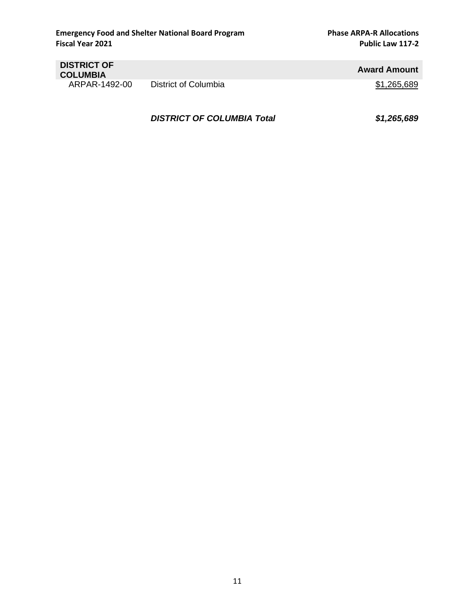| <b>DISTRICT OF</b><br><b>COLUMBIA</b> |                      | <b>Award Amount</b> |
|---------------------------------------|----------------------|---------------------|
| ARPAR-1492-00                         | District of Columbia | \$1,265,689         |

*DISTRICT OF COLUMBIA Total \$1,265,689*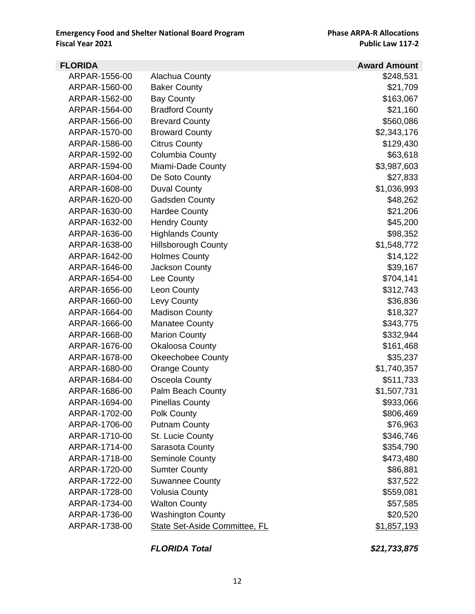| <b>FLORIDA</b> |                                      | <b>Award Amount</b> |
|----------------|--------------------------------------|---------------------|
| ARPAR-1556-00  | Alachua County                       | \$248,531           |
| ARPAR-1560-00  | <b>Baker County</b>                  | \$21,709            |
| ARPAR-1562-00  | <b>Bay County</b>                    | \$163,067           |
| ARPAR-1564-00  | <b>Bradford County</b>               | \$21,160            |
| ARPAR-1566-00  | <b>Brevard County</b>                | \$560,086           |
| ARPAR-1570-00  | <b>Broward County</b>                | \$2,343,176         |
| ARPAR-1586-00  | <b>Citrus County</b>                 | \$129,430           |
| ARPAR-1592-00  | Columbia County                      | \$63,618            |
| ARPAR-1594-00  | Miami-Dade County                    | \$3,987,603         |
| ARPAR-1604-00  | De Soto County                       | \$27,833            |
| ARPAR-1608-00  | <b>Duval County</b>                  | \$1,036,993         |
| ARPAR-1620-00  | <b>Gadsden County</b>                | \$48,262            |
| ARPAR-1630-00  | <b>Hardee County</b>                 | \$21,206            |
| ARPAR-1632-00  | <b>Hendry County</b>                 | \$45,200            |
| ARPAR-1636-00  | <b>Highlands County</b>              | \$98,352            |
| ARPAR-1638-00  | <b>Hillsborough County</b>           | \$1,548,772         |
| ARPAR-1642-00  | <b>Holmes County</b>                 | \$14,122            |
| ARPAR-1646-00  | Jackson County                       | \$39,167            |
| ARPAR-1654-00  | Lee County                           | \$704,141           |
| ARPAR-1656-00  | Leon County                          | \$312,743           |
| ARPAR-1660-00  | Levy County                          | \$36,836            |
| ARPAR-1664-00  | <b>Madison County</b>                | \$18,327            |
| ARPAR-1666-00  | <b>Manatee County</b>                | \$343,775           |
| ARPAR-1668-00  | <b>Marion County</b>                 | \$332,944           |
| ARPAR-1676-00  | <b>Okaloosa County</b>               | \$161,468           |
| ARPAR-1678-00  | <b>Okeechobee County</b>             | \$35,237            |
| ARPAR-1680-00  | <b>Orange County</b>                 | \$1,740,357         |
| ARPAR-1684-00  | Osceola County                       | \$511,733           |
| ARPAR-1686-00  | Palm Beach County                    | \$1,507,731         |
| ARPAR-1694-00  | <b>Pinellas County</b>               | \$933,066           |
| ARPAR-1702-00  | Polk County                          | \$806,469           |
| ARPAR-1706-00  | <b>Putnam County</b>                 | \$76,963            |
| ARPAR-1710-00  | St. Lucie County                     | \$346,746           |
| ARPAR-1714-00  | Sarasota County                      | \$354,790           |
| ARPAR-1718-00  | Seminole County                      | \$473,480           |
| ARPAR-1720-00  | <b>Sumter County</b>                 | \$86,881            |
| ARPAR-1722-00  | <b>Suwannee County</b>               | \$37,522            |
| ARPAR-1728-00  | <b>Volusia County</b>                | \$559,081           |
| ARPAR-1734-00  | <b>Walton County</b>                 | \$57,585            |
| ARPAR-1736-00  | <b>Washington County</b>             | \$20,520            |
| ARPAR-1738-00  | <b>State Set-Aside Committee, FL</b> | \$1,857,193         |

*FLORIDA Total \$21,733,875*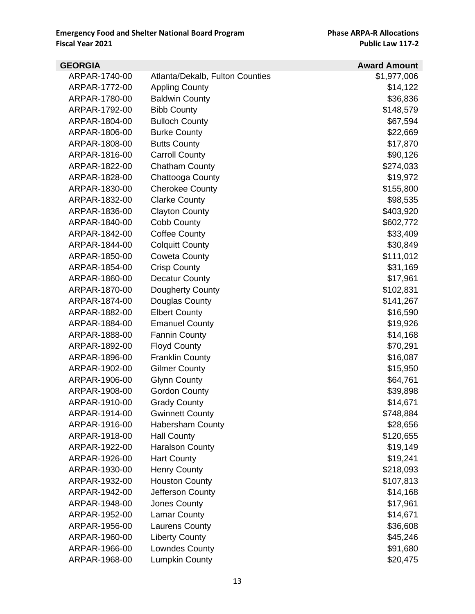| <b>GEORGIA</b> |                                        | <b>Award Amount</b> |
|----------------|----------------------------------------|---------------------|
| ARPAR-1740-00  | <b>Atlanta/Dekalb, Fulton Counties</b> | \$1,977,006         |
| ARPAR-1772-00  | <b>Appling County</b>                  | \$14,122            |
| ARPAR-1780-00  | <b>Baldwin County</b>                  | \$36,836            |
| ARPAR-1792-00  | <b>Bibb County</b>                     | \$148,579           |
| ARPAR-1804-00  | <b>Bulloch County</b>                  | \$67,594            |
| ARPAR-1806-00  | <b>Burke County</b>                    | \$22,669            |
| ARPAR-1808-00  | <b>Butts County</b>                    | \$17,870            |
| ARPAR-1816-00  | <b>Carroll County</b>                  | \$90,126            |
| ARPAR-1822-00  | <b>Chatham County</b>                  | \$274,033           |
| ARPAR-1828-00  | Chattooga County                       | \$19,972            |
| ARPAR-1830-00  | <b>Cherokee County</b>                 | \$155,800           |
| ARPAR-1832-00  | <b>Clarke County</b>                   | \$98,535            |
| ARPAR-1836-00  | <b>Clayton County</b>                  | \$403,920           |
| ARPAR-1840-00  | Cobb County                            | \$602,772           |
| ARPAR-1842-00  | <b>Coffee County</b>                   | \$33,409            |
| ARPAR-1844-00  | <b>Colquitt County</b>                 | \$30,849            |
| ARPAR-1850-00  | <b>Coweta County</b>                   | \$111,012           |
| ARPAR-1854-00  | <b>Crisp County</b>                    | \$31,169            |
| ARPAR-1860-00  | <b>Decatur County</b>                  | \$17,961            |
| ARPAR-1870-00  | Dougherty County                       | \$102,831           |
| ARPAR-1874-00  | Douglas County                         | \$141,267           |
| ARPAR-1882-00  | <b>Elbert County</b>                   | \$16,590            |
| ARPAR-1884-00  | <b>Emanuel County</b>                  | \$19,926            |
| ARPAR-1888-00  | <b>Fannin County</b>                   | \$14,168            |
| ARPAR-1892-00  | <b>Floyd County</b>                    | \$70,291            |
| ARPAR-1896-00  | <b>Franklin County</b>                 | \$16,087            |
| ARPAR-1902-00  | <b>Gilmer County</b>                   | \$15,950            |
| ARPAR-1906-00  | <b>Glynn County</b>                    | \$64,761            |
| ARPAR-1908-00  | <b>Gordon County</b>                   | \$39,898            |
| ARPAR-1910-00  | <b>Grady County</b>                    | \$14,671            |
| ARPAR-1914-00  | <b>Gwinnett County</b>                 | \$748,884           |
| ARPAR-1916-00  | <b>Habersham County</b>                | \$28,656            |
| ARPAR-1918-00  | <b>Hall County</b>                     | \$120,655           |
| ARPAR-1922-00  | <b>Haralson County</b>                 | \$19,149            |
| ARPAR-1926-00  | <b>Hart County</b>                     | \$19,241            |
| ARPAR-1930-00  | <b>Henry County</b>                    | \$218,093           |
| ARPAR-1932-00  | <b>Houston County</b>                  | \$107,813           |
| ARPAR-1942-00  | Jefferson County                       | \$14,168            |
| ARPAR-1948-00  | Jones County                           | \$17,961            |
| ARPAR-1952-00  | <b>Lamar County</b>                    | \$14,671            |
| ARPAR-1956-00  | Laurens County                         | \$36,608            |
| ARPAR-1960-00  | <b>Liberty County</b>                  | \$45,246            |
| ARPAR-1966-00  | Lowndes County                         | \$91,680            |
| ARPAR-1968-00  | <b>Lumpkin County</b>                  | \$20,475            |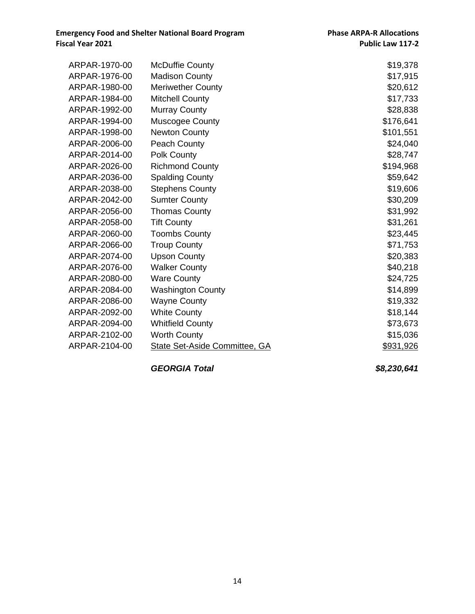| ARPAR-1970-00 | <b>McDuffie County</b>               | \$19,378  |
|---------------|--------------------------------------|-----------|
| ARPAR-1976-00 | <b>Madison County</b>                | \$17,915  |
| ARPAR-1980-00 | <b>Meriwether County</b>             | \$20,612  |
| ARPAR-1984-00 | <b>Mitchell County</b>               | \$17,733  |
| ARPAR-1992-00 | <b>Murray County</b>                 | \$28,838  |
| ARPAR-1994-00 | Muscogee County                      | \$176,641 |
| ARPAR-1998-00 | <b>Newton County</b>                 | \$101,551 |
| ARPAR-2006-00 | Peach County                         | \$24,040  |
| ARPAR-2014-00 | Polk County                          | \$28,747  |
| ARPAR-2026-00 | <b>Richmond County</b>               | \$194,968 |
| ARPAR-2036-00 | <b>Spalding County</b>               | \$59,642  |
| ARPAR-2038-00 | <b>Stephens County</b>               | \$19,606  |
| ARPAR-2042-00 | <b>Sumter County</b>                 | \$30,209  |
| ARPAR-2056-00 | <b>Thomas County</b>                 | \$31,992  |
| ARPAR-2058-00 | <b>Tift County</b>                   | \$31,261  |
| ARPAR-2060-00 | <b>Toombs County</b>                 | \$23,445  |
| ARPAR-2066-00 | <b>Troup County</b>                  | \$71,753  |
| ARPAR-2074-00 | <b>Upson County</b>                  | \$20,383  |
| ARPAR-2076-00 | <b>Walker County</b>                 | \$40,218  |
| ARPAR-2080-00 | <b>Ware County</b>                   | \$24,725  |
| ARPAR-2084-00 | <b>Washington County</b>             | \$14,899  |
| ARPAR-2086-00 | <b>Wayne County</b>                  | \$19,332  |
| ARPAR-2092-00 | <b>White County</b>                  | \$18,144  |
| ARPAR-2094-00 | <b>Whitfield County</b>              | \$73,673  |
| ARPAR-2102-00 | <b>Worth County</b>                  | \$15,036  |
| ARPAR-2104-00 | <b>State Set-Aside Committee, GA</b> | \$931,926 |

*GEORGIA Total \$8,230,641*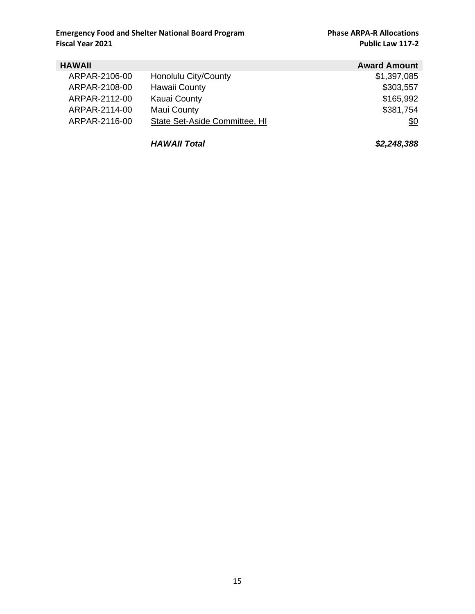| <b>HAWAII</b> |                               | <b>Award Amount</b> |
|---------------|-------------------------------|---------------------|
| ARPAR-2106-00 | Honolulu City/County          | \$1,397,085         |
| ARPAR-2108-00 | Hawaii County                 | \$303,557           |
| ARPAR-2112-00 | Kauai County                  | \$165,992           |
| ARPAR-2114-00 | Maui County                   | \$381,754           |
| ARPAR-2116-00 | State Set-Aside Committee, HI | \$0                 |

*HAWAII Total \$2,248,388*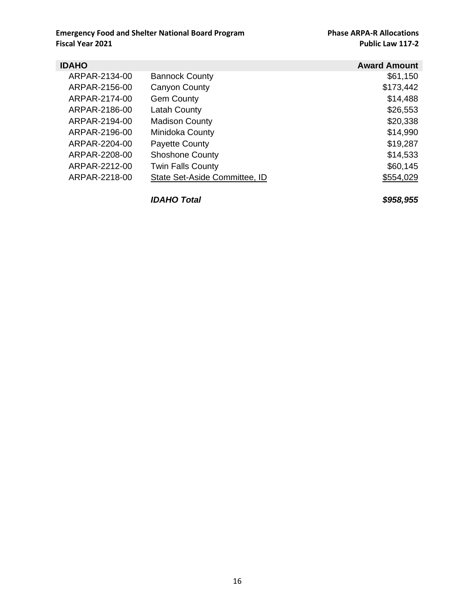| <b>IDAHO</b>  |                               | <b>Award Amount</b> |
|---------------|-------------------------------|---------------------|
| ARPAR-2134-00 | <b>Bannock County</b>         | \$61,150            |
| ARPAR-2156-00 | Canyon County                 | \$173,442           |
| ARPAR-2174-00 | <b>Gem County</b>             | \$14,488            |
| ARPAR-2186-00 | <b>Latah County</b>           | \$26,553            |
| ARPAR-2194-00 | <b>Madison County</b>         | \$20,338            |
| ARPAR-2196-00 | Minidoka County               | \$14,990            |
| ARPAR-2204-00 | Payette County                | \$19,287            |
| ARPAR-2208-00 | <b>Shoshone County</b>        | \$14,533            |
| ARPAR-2212-00 | <b>Twin Falls County</b>      | \$60,145            |
| ARPAR-2218-00 | State Set-Aside Committee, ID | \$554,029           |
|               |                               |                     |

*IDAHO Total \$958,955*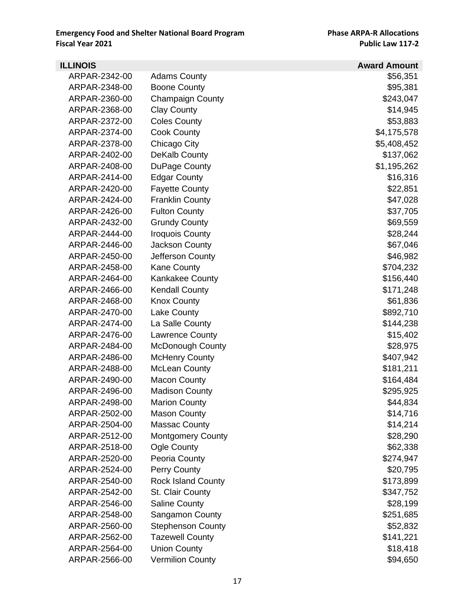| <b>ILLINOIS</b> |                           | <b>Award Amount</b> |
|-----------------|---------------------------|---------------------|
| ARPAR-2342-00   | <b>Adams County</b>       | \$56,351            |
| ARPAR-2348-00   | <b>Boone County</b>       | \$95,381            |
| ARPAR-2360-00   | <b>Champaign County</b>   | \$243,047           |
| ARPAR-2368-00   | <b>Clay County</b>        | \$14,945            |
| ARPAR-2372-00   | <b>Coles County</b>       | \$53,883            |
| ARPAR-2374-00   | <b>Cook County</b>        | \$4,175,578         |
| ARPAR-2378-00   | Chicago City              | \$5,408,452         |
| ARPAR-2402-00   | DeKalb County             | \$137,062           |
| ARPAR-2408-00   | DuPage County             | \$1,195,262         |
| ARPAR-2414-00   | <b>Edgar County</b>       | \$16,316            |
| ARPAR-2420-00   | <b>Fayette County</b>     | \$22,851            |
| ARPAR-2424-00   | <b>Franklin County</b>    | \$47,028            |
| ARPAR-2426-00   | <b>Fulton County</b>      | \$37,705            |
| ARPAR-2432-00   | <b>Grundy County</b>      | \$69,559            |
| ARPAR-2444-00   | <b>Iroquois County</b>    | \$28,244            |
| ARPAR-2446-00   | Jackson County            | \$67,046            |
| ARPAR-2450-00   | Jefferson County          | \$46,982            |
| ARPAR-2458-00   | <b>Kane County</b>        | \$704,232           |
| ARPAR-2464-00   | <b>Kankakee County</b>    | \$156,440           |
| ARPAR-2466-00   | <b>Kendall County</b>     | \$171,248           |
| ARPAR-2468-00   | <b>Knox County</b>        | \$61,836            |
| ARPAR-2470-00   | Lake County               | \$892,710           |
| ARPAR-2474-00   | La Salle County           | \$144,238           |
| ARPAR-2476-00   | Lawrence County           | \$15,402            |
| ARPAR-2484-00   | <b>McDonough County</b>   | \$28,975            |
| ARPAR-2486-00   | <b>McHenry County</b>     | \$407,942           |
| ARPAR-2488-00   | <b>McLean County</b>      | \$181,211           |
| ARPAR-2490-00   | <b>Macon County</b>       | \$164,484           |
| ARPAR-2496-00   | <b>Madison County</b>     | \$295,925           |
| ARPAR-2498-00   | <b>Marion County</b>      | \$44,834            |
| ARPAR-2502-00   | <b>Mason County</b>       | \$14,716            |
| ARPAR-2504-00   | <b>Massac County</b>      | \$14,214            |
| ARPAR-2512-00   | <b>Montgomery County</b>  | \$28,290            |
| ARPAR-2518-00   | Ogle County               | \$62,338            |
| ARPAR-2520-00   | Peoria County             | \$274,947           |
| ARPAR-2524-00   | Perry County              | \$20,795            |
| ARPAR-2540-00   | <b>Rock Island County</b> | \$173,899           |
| ARPAR-2542-00   | St. Clair County          | \$347,752           |
| ARPAR-2546-00   | <b>Saline County</b>      | \$28,199            |
| ARPAR-2548-00   | Sangamon County           | \$251,685           |
| ARPAR-2560-00   | <b>Stephenson County</b>  | \$52,832            |
| ARPAR-2562-00   | <b>Tazewell County</b>    | \$141,221           |
| ARPAR-2564-00   | <b>Union County</b>       | \$18,418            |
| ARPAR-2566-00   | <b>Vermilion County</b>   | \$94,650            |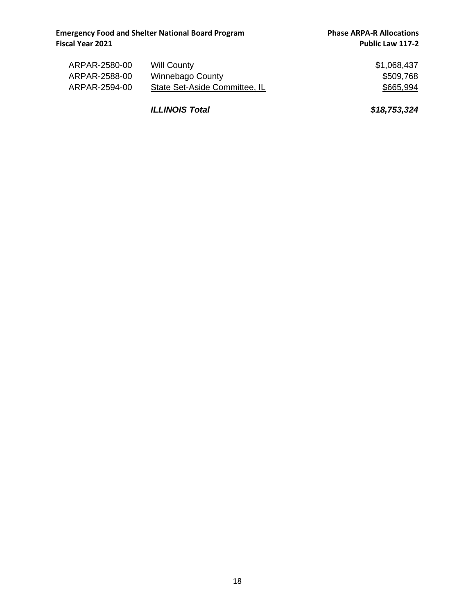| ARPAR-2580-00 | <b>Will County</b>            | \$1,068,437 |
|---------------|-------------------------------|-------------|
| ARPAR-2588-00 | Winnebago County              | \$509,768   |
| ARPAR-2594-00 | State Set-Aside Committee, IL | \$665,994   |

*ILLINOIS Total \$18,753,324*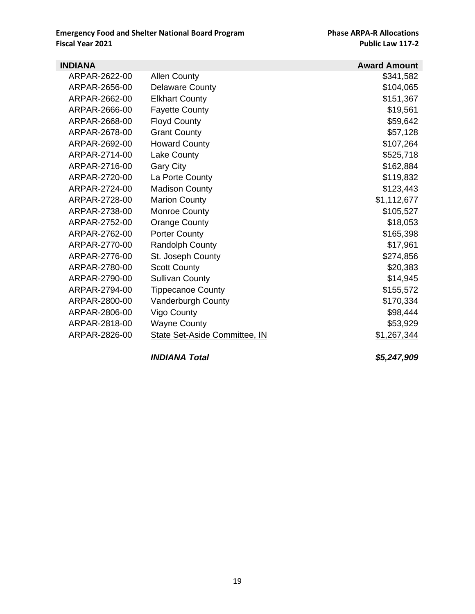| <b>INDIANA</b> |                               | <b>Award Amount</b> |
|----------------|-------------------------------|---------------------|
| ARPAR-2622-00  | <b>Allen County</b>           | \$341,582           |
| ARPAR-2656-00  | <b>Delaware County</b>        | \$104,065           |
| ARPAR-2662-00  | <b>Elkhart County</b>         | \$151,367           |
| ARPAR-2666-00  | <b>Fayette County</b>         | \$19,561            |
| ARPAR-2668-00  | <b>Floyd County</b>           | \$59,642            |
| ARPAR-2678-00  | <b>Grant County</b>           | \$57,128            |
| ARPAR-2692-00  | <b>Howard County</b>          | \$107,264           |
| ARPAR-2714-00  | Lake County                   | \$525,718           |
| ARPAR-2716-00  | Gary City                     | \$162,884           |
| ARPAR-2720-00  | La Porte County               | \$119,832           |
| ARPAR-2724-00  | <b>Madison County</b>         | \$123,443           |
| ARPAR-2728-00  | <b>Marion County</b>          | \$1,112,677         |
| ARPAR-2738-00  | Monroe County                 | \$105,527           |
| ARPAR-2752-00  | <b>Orange County</b>          | \$18,053            |
| ARPAR-2762-00  | <b>Porter County</b>          | \$165,398           |
| ARPAR-2770-00  | <b>Randolph County</b>        | \$17,961            |
| ARPAR-2776-00  | St. Joseph County             | \$274,856           |
| ARPAR-2780-00  | <b>Scott County</b>           | \$20,383            |
| ARPAR-2790-00  | <b>Sullivan County</b>        | \$14,945            |
| ARPAR-2794-00  | <b>Tippecanoe County</b>      | \$155,572           |
| ARPAR-2800-00  | Vanderburgh County            | \$170,334           |
| ARPAR-2806-00  | Vigo County                   | \$98,444            |
| ARPAR-2818-00  | Wayne County                  | \$53,929            |
| ARPAR-2826-00  | State Set-Aside Committee, IN | \$1,267,344         |

*INDIANA Total \$5,247,909*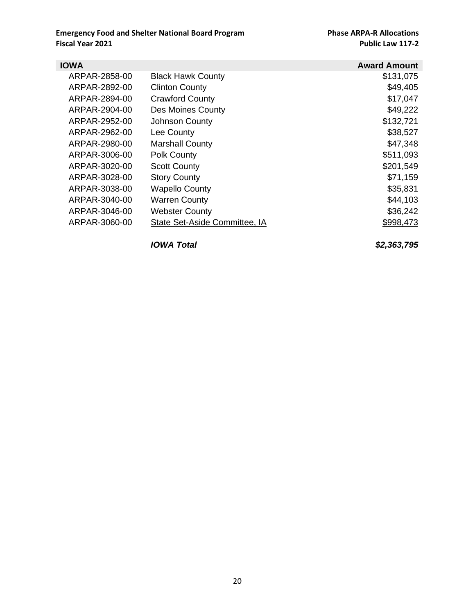| <b>IOWA</b>   |                               | <b>Award Amount</b> |
|---------------|-------------------------------|---------------------|
| ARPAR-2858-00 | <b>Black Hawk County</b>      | \$131,075           |
| ARPAR-2892-00 | <b>Clinton County</b>         | \$49,405            |
| ARPAR-2894-00 | <b>Crawford County</b>        | \$17,047            |
| ARPAR-2904-00 | Des Moines County             | \$49,222            |
| ARPAR-2952-00 | Johnson County                | \$132,721           |
| ARPAR-2962-00 | Lee County                    | \$38,527            |
| ARPAR-2980-00 | <b>Marshall County</b>        | \$47,348            |
| ARPAR-3006-00 | Polk County                   | \$511,093           |
| ARPAR-3020-00 | <b>Scott County</b>           | \$201,549           |
| ARPAR-3028-00 | <b>Story County</b>           | \$71,159            |
| ARPAR-3038-00 | <b>Wapello County</b>         | \$35,831            |
| ARPAR-3040-00 | <b>Warren County</b>          | \$44,103            |
| ARPAR-3046-00 | <b>Webster County</b>         | \$36,242            |
| ARPAR-3060-00 | State Set-Aside Committee, IA | \$998,473           |

*IOWA Total \$2,363,795*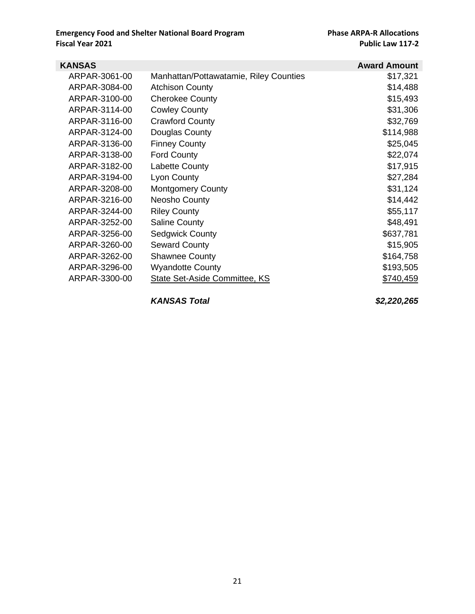| KANSAS        |                                        | <b>Award Amount</b> |
|---------------|----------------------------------------|---------------------|
| ARPAR-3061-00 | Manhattan/Pottawatamie, Riley Counties | \$17,321            |
| ARPAR-3084-00 | <b>Atchison County</b>                 | \$14,488            |
| ARPAR-3100-00 | <b>Cherokee County</b>                 | \$15,493            |
| ARPAR-3114-00 | <b>Cowley County</b>                   | \$31,306            |
| ARPAR-3116-00 | <b>Crawford County</b>                 | \$32,769            |
| ARPAR-3124-00 | Douglas County                         | \$114,988           |
| ARPAR-3136-00 | <b>Finney County</b>                   | \$25,045            |
| ARPAR-3138-00 | <b>Ford County</b>                     | \$22,074            |
| ARPAR-3182-00 | <b>Labette County</b>                  | \$17,915            |
| ARPAR-3194-00 | Lyon County                            | \$27,284            |
| ARPAR-3208-00 | <b>Montgomery County</b>               | \$31,124            |
| ARPAR-3216-00 | <b>Neosho County</b>                   | \$14,442            |
| ARPAR-3244-00 | <b>Riley County</b>                    | \$55,117            |
| ARPAR-3252-00 | <b>Saline County</b>                   | \$48,491            |
| ARPAR-3256-00 | <b>Sedgwick County</b>                 | \$637,781           |
| ARPAR-3260-00 | <b>Seward County</b>                   | \$15,905            |
| ARPAR-3262-00 | <b>Shawnee County</b>                  | \$164,758           |
| ARPAR-3296-00 | <b>Wyandotte County</b>                | \$193,505           |
| ARPAR-3300-00 | State Set-Aside Committee, KS          | \$740,459           |

*KANSAS Total \$2,220,265*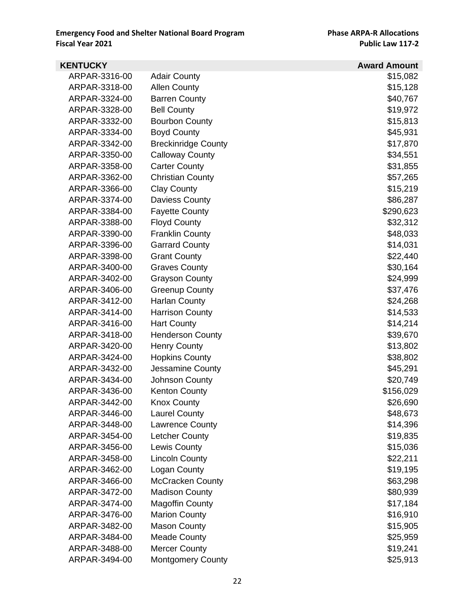| <b>KENTUCKY</b> |                            | <b>Award Amount</b> |
|-----------------|----------------------------|---------------------|
| ARPAR-3316-00   | <b>Adair County</b>        | \$15,082            |
| ARPAR-3318-00   | <b>Allen County</b>        | \$15,128            |
| ARPAR-3324-00   | <b>Barren County</b>       | \$40,767            |
| ARPAR-3328-00   | <b>Bell County</b>         | \$19,972            |
| ARPAR-3332-00   | <b>Bourbon County</b>      | \$15,813            |
| ARPAR-3334-00   | <b>Boyd County</b>         | \$45,931            |
| ARPAR-3342-00   | <b>Breckinridge County</b> | \$17,870            |
| ARPAR-3350-00   | <b>Calloway County</b>     | \$34,551            |
| ARPAR-3358-00   | <b>Carter County</b>       | \$31,855            |
| ARPAR-3362-00   | <b>Christian County</b>    | \$57,265            |
| ARPAR-3366-00   | <b>Clay County</b>         | \$15,219            |
| ARPAR-3374-00   | Daviess County             | \$86,287            |
| ARPAR-3384-00   | <b>Fayette County</b>      | \$290,623           |
| ARPAR-3388-00   | <b>Floyd County</b>        | \$32,312            |
| ARPAR-3390-00   | <b>Franklin County</b>     | \$48,033            |
| ARPAR-3396-00   | <b>Garrard County</b>      | \$14,031            |
| ARPAR-3398-00   | <b>Grant County</b>        | \$22,440            |
| ARPAR-3400-00   | <b>Graves County</b>       | \$30,164            |
| ARPAR-3402-00   | <b>Grayson County</b>      | \$24,999            |
| ARPAR-3406-00   | <b>Greenup County</b>      | \$37,476            |
| ARPAR-3412-00   | <b>Harlan County</b>       | \$24,268            |
| ARPAR-3414-00   | <b>Harrison County</b>     | \$14,533            |
| ARPAR-3416-00   | <b>Hart County</b>         | \$14,214            |
| ARPAR-3418-00   | <b>Henderson County</b>    | \$39,670            |
| ARPAR-3420-00   | <b>Henry County</b>        | \$13,802            |
| ARPAR-3424-00   | <b>Hopkins County</b>      | \$38,802            |
| ARPAR-3432-00   | Jessamine County           | \$45,291            |
| ARPAR-3434-00   | Johnson County             | \$20,749            |
| ARPAR-3436-00   | <b>Kenton County</b>       | \$156,029           |
| ARPAR-3442-00   | <b>Knox County</b>         | \$26,690            |
| ARPAR-3446-00   | <b>Laurel County</b>       | \$48,673            |
| ARPAR-3448-00   | <b>Lawrence County</b>     | \$14,396            |
| ARPAR-3454-00   | Letcher County             | \$19,835            |
| ARPAR-3456-00   | <b>Lewis County</b>        | \$15,036            |
| ARPAR-3458-00   | <b>Lincoln County</b>      | \$22,211            |
| ARPAR-3462-00   | Logan County               | \$19,195            |
| ARPAR-3466-00   | <b>McCracken County</b>    | \$63,298            |
| ARPAR-3472-00   | <b>Madison County</b>      | \$80,939            |
| ARPAR-3474-00   | <b>Magoffin County</b>     | \$17,184            |
| ARPAR-3476-00   | <b>Marion County</b>       | \$16,910            |
| ARPAR-3482-00   | <b>Mason County</b>        | \$15,905            |
| ARPAR-3484-00   | <b>Meade County</b>        | \$25,959            |
| ARPAR-3488-00   | <b>Mercer County</b>       | \$19,241            |
| ARPAR-3494-00   | <b>Montgomery County</b>   | \$25,913            |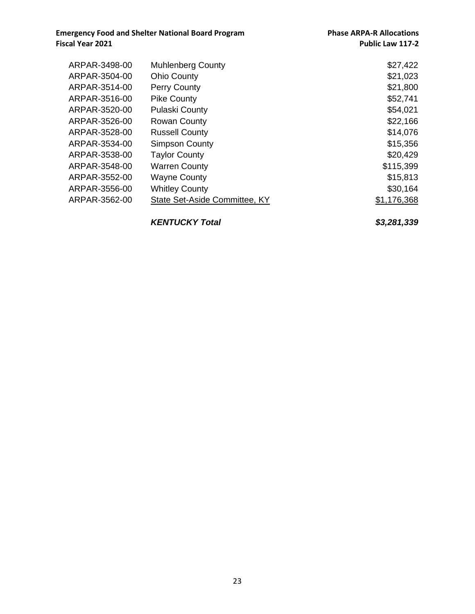**Emergency Food and Shelter National Board Program Phase ARPA-R Allocations**<br>Public Law 117-2

| ARPAR-3498-00 | <b>Muhlenberg County</b>      | \$27,422    |
|---------------|-------------------------------|-------------|
| ARPAR-3504-00 | <b>Ohio County</b>            | \$21,023    |
| ARPAR-3514-00 | <b>Perry County</b>           | \$21,800    |
| ARPAR-3516-00 | <b>Pike County</b>            | \$52,741    |
| ARPAR-3520-00 | <b>Pulaski County</b>         | \$54,021    |
| ARPAR-3526-00 | <b>Rowan County</b>           | \$22,166    |
| ARPAR-3528-00 | <b>Russell County</b>         | \$14,076    |
| ARPAR-3534-00 | <b>Simpson County</b>         | \$15,356    |
| ARPAR-3538-00 | <b>Taylor County</b>          | \$20,429    |
| ARPAR-3548-00 | <b>Warren County</b>          | \$115,399   |
| ARPAR-3552-00 | <b>Wayne County</b>           | \$15,813    |
| ARPAR-3556-00 | <b>Whitley County</b>         | \$30,164    |
| ARPAR-3562-00 | State Set-Aside Committee, KY | \$1,176,368 |
|               |                               |             |

*KENTUCKY Total \$3,281,339*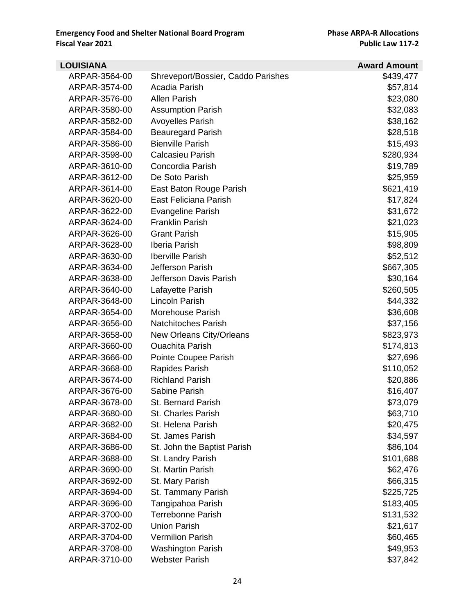| <b>LOUISIANA</b> |                                    | <b>Award Amount</b> |
|------------------|------------------------------------|---------------------|
| ARPAR-3564-00    | Shreveport/Bossier, Caddo Parishes | \$439,477           |
| ARPAR-3574-00    | Acadia Parish                      | \$57,814            |
| ARPAR-3576-00    | <b>Allen Parish</b>                | \$23,080            |
| ARPAR-3580-00    | <b>Assumption Parish</b>           | \$32,083            |
| ARPAR-3582-00    | <b>Avoyelles Parish</b>            | \$38,162            |
| ARPAR-3584-00    | <b>Beauregard Parish</b>           | \$28,518            |
| ARPAR-3586-00    | <b>Bienville Parish</b>            | \$15,493            |
| ARPAR-3598-00    | <b>Calcasieu Parish</b>            | \$280,934           |
| ARPAR-3610-00    | Concordia Parish                   | \$19,789            |
| ARPAR-3612-00    | De Soto Parish                     | \$25,959            |
| ARPAR-3614-00    | East Baton Rouge Parish            | \$621,419           |
| ARPAR-3620-00    | East Feliciana Parish              | \$17,824            |
| ARPAR-3622-00    | <b>Evangeline Parish</b>           | \$31,672            |
| ARPAR-3624-00    | <b>Franklin Parish</b>             | \$21,023            |
| ARPAR-3626-00    | <b>Grant Parish</b>                | \$15,905            |
| ARPAR-3628-00    | Iberia Parish                      | \$98,809            |
| ARPAR-3630-00    | <b>Iberville Parish</b>            | \$52,512            |
| ARPAR-3634-00    | Jefferson Parish                   | \$667,305           |
| ARPAR-3638-00    | Jefferson Davis Parish             | \$30,164            |
| ARPAR-3640-00    | Lafayette Parish                   | \$260,505           |
| ARPAR-3648-00    | Lincoln Parish                     | \$44,332            |
| ARPAR-3654-00    | Morehouse Parish                   | \$36,608            |
| ARPAR-3656-00    | <b>Natchitoches Parish</b>         | \$37,156            |
| ARPAR-3658-00    | New Orleans City/Orleans           | \$823,973           |
| ARPAR-3660-00    | <b>Ouachita Parish</b>             | \$174,813           |
| ARPAR-3666-00    | Pointe Coupee Parish               | \$27,696            |
| ARPAR-3668-00    | Rapides Parish                     | \$110,052           |
| ARPAR-3674-00    | <b>Richland Parish</b>             | \$20,886            |
| ARPAR-3676-00    | Sabine Parish                      | \$16,407            |
| ARPAR-3678-00    | St. Bernard Parish                 | \$73,079            |
| ARPAR-3680-00    | <b>St. Charles Parish</b>          | \$63,710            |
| ARPAR-3682-00    | St. Helena Parish                  | \$20,475            |
| ARPAR-3684-00    | St. James Parish                   | \$34,597            |
| ARPAR-3686-00    | St. John the Baptist Parish        | \$86,104            |
| ARPAR-3688-00    | St. Landry Parish                  | \$101,688           |
| ARPAR-3690-00    | St. Martin Parish                  | \$62,476            |
| ARPAR-3692-00    | St. Mary Parish                    | \$66,315            |
| ARPAR-3694-00    | St. Tammany Parish                 | \$225,725           |
| ARPAR-3696-00    | Tangipahoa Parish                  | \$183,405           |
| ARPAR-3700-00    | <b>Terrebonne Parish</b>           | \$131,532           |
| ARPAR-3702-00    | <b>Union Parish</b>                | \$21,617            |
| ARPAR-3704-00    | <b>Vermilion Parish</b>            | \$60,465            |
| ARPAR-3708-00    | <b>Washington Parish</b>           | \$49,953            |
| ARPAR-3710-00    | <b>Webster Parish</b>              | \$37,842            |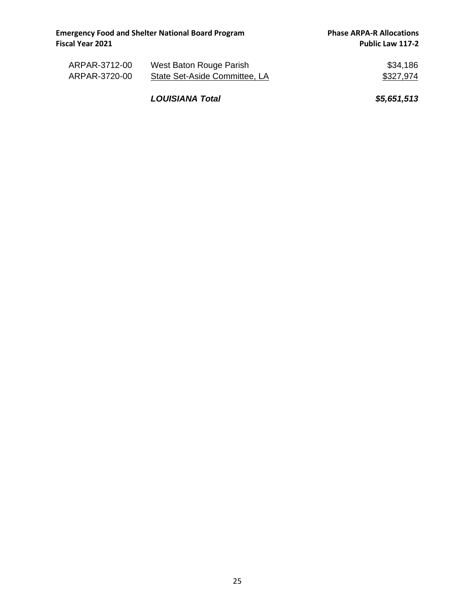| ARPAR-3712-00 | West Baton Rouge Parish       | \$34,186  |
|---------------|-------------------------------|-----------|
| ARPAR-3720-00 | State Set-Aside Committee, LA | \$327,974 |

*LOUISIANA Total \$5,651,513*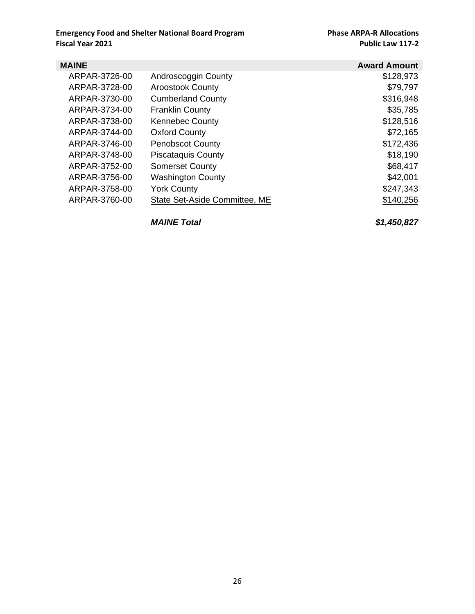| <b>MAINE</b>  |                               | <b>Award Amount</b> |
|---------------|-------------------------------|---------------------|
| ARPAR-3726-00 | Androscoggin County           | \$128,973           |
| ARPAR-3728-00 | <b>Aroostook County</b>       | \$79,797            |
| ARPAR-3730-00 | <b>Cumberland County</b>      | \$316,948           |
| ARPAR-3734-00 | <b>Franklin County</b>        | \$35,785            |
| ARPAR-3738-00 | <b>Kennebec County</b>        | \$128,516           |
| ARPAR-3744-00 | <b>Oxford County</b>          | \$72,165            |
| ARPAR-3746-00 | <b>Penobscot County</b>       | \$172,436           |
| ARPAR-3748-00 | <b>Piscataquis County</b>     | \$18,190            |
| ARPAR-3752-00 | <b>Somerset County</b>        | \$68,417            |
| ARPAR-3756-00 | <b>Washington County</b>      | \$42,001            |
| ARPAR-3758-00 | <b>York County</b>            | \$247,343           |
| ARPAR-3760-00 | State Set-Aside Committee, ME | \$140,256           |

*MAINE Total \$1,450,827*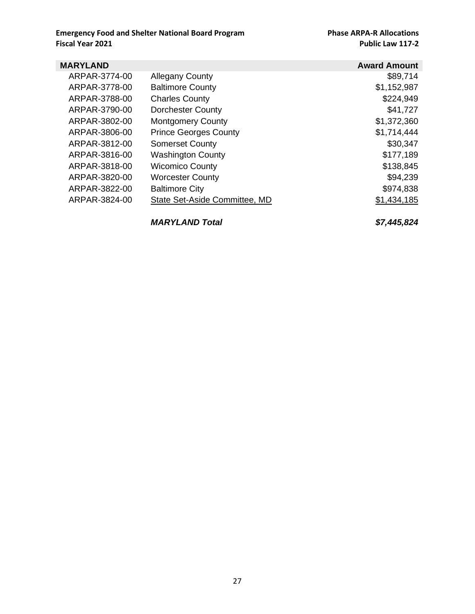| <b>MARYLAND</b> |                               | <b>Award Amount</b> |
|-----------------|-------------------------------|---------------------|
| ARPAR-3774-00   | <b>Allegany County</b>        | \$89,714            |
| ARPAR-3778-00   | <b>Baltimore County</b>       | \$1,152,987         |
| ARPAR-3788-00   | <b>Charles County</b>         | \$224,949           |
| ARPAR-3790-00   | <b>Dorchester County</b>      | \$41,727            |
| ARPAR-3802-00   | <b>Montgomery County</b>      | \$1,372,360         |
| ARPAR-3806-00   | <b>Prince Georges County</b>  | \$1,714,444         |
| ARPAR-3812-00   | <b>Somerset County</b>        | \$30,347            |
| ARPAR-3816-00   | <b>Washington County</b>      | \$177,189           |
| ARPAR-3818-00   | <b>Wicomico County</b>        | \$138,845           |
| ARPAR-3820-00   | <b>Worcester County</b>       | \$94,239            |
| ARPAR-3822-00   | <b>Baltimore City</b>         | \$974,838           |
| ARPAR-3824-00   | State Set-Aside Committee, MD | \$1,434,185         |

*MARYLAND Total \$7,445,824*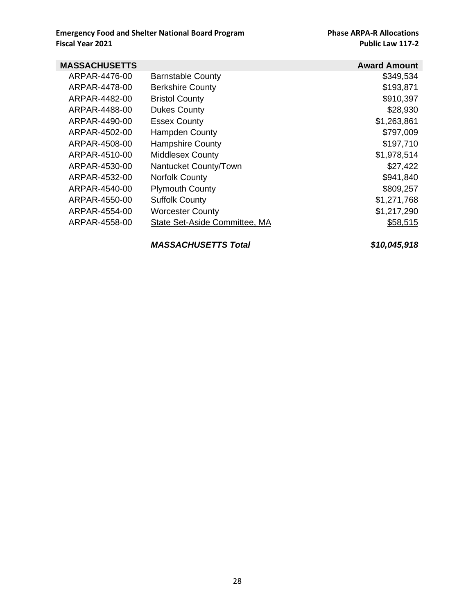| <b>MASSACHUSETTS</b> |                               | <b>Award Amount</b> |
|----------------------|-------------------------------|---------------------|
| ARPAR-4476-00        | <b>Barnstable County</b>      | \$349,534           |
| ARPAR-4478-00        | <b>Berkshire County</b>       | \$193,871           |
| ARPAR-4482-00        | <b>Bristol County</b>         | \$910,397           |
| ARPAR-4488-00        | <b>Dukes County</b>           | \$28,930            |
| ARPAR-4490-00        | <b>Essex County</b>           | \$1,263,861         |
| ARPAR-4502-00        | Hampden County                | \$797,009           |
| ARPAR-4508-00        | <b>Hampshire County</b>       | \$197,710           |
| ARPAR-4510-00        | <b>Middlesex County</b>       | \$1,978,514         |
| ARPAR-4530-00        | Nantucket County/Town         | \$27,422            |
| ARPAR-4532-00        | <b>Norfolk County</b>         | \$941,840           |
| ARPAR-4540-00        | <b>Plymouth County</b>        | \$809,257           |
| ARPAR-4550-00        | <b>Suffolk County</b>         | \$1,271,768         |
| ARPAR-4554-00        | <b>Worcester County</b>       | \$1,217,290         |
| ARPAR-4558-00        | State Set-Aside Committee, MA | \$58,515            |

*MASSACHUSETTS Total \$10,045,918*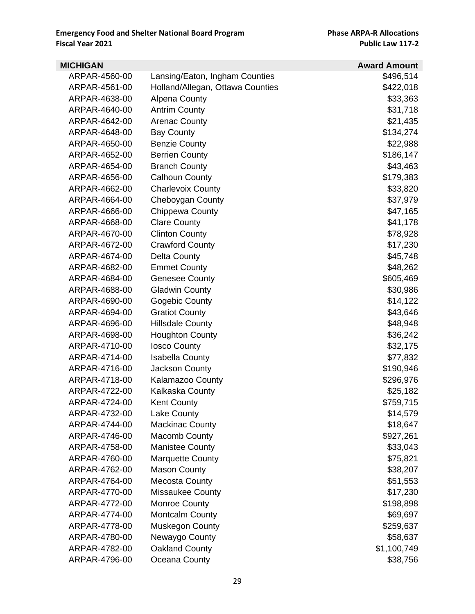| <b>MICHIGAN</b> |                                  | <b>Award Amount</b> |
|-----------------|----------------------------------|---------------------|
| ARPAR-4560-00   | Lansing/Eaton, Ingham Counties   | \$496,514           |
| ARPAR-4561-00   | Holland/Allegan, Ottawa Counties | \$422,018           |
| ARPAR-4638-00   | <b>Alpena County</b>             | \$33,363            |
| ARPAR-4640-00   | <b>Antrim County</b>             | \$31,718            |
| ARPAR-4642-00   | <b>Arenac County</b>             | \$21,435            |
| ARPAR-4648-00   | <b>Bay County</b>                | \$134,274           |
| ARPAR-4650-00   | <b>Benzie County</b>             | \$22,988            |
| ARPAR-4652-00   | <b>Berrien County</b>            | \$186,147           |
| ARPAR-4654-00   | <b>Branch County</b>             | \$43,463            |
| ARPAR-4656-00   | <b>Calhoun County</b>            | \$179,383           |
| ARPAR-4662-00   | <b>Charlevoix County</b>         | \$33,820            |
| ARPAR-4664-00   | Cheboygan County                 | \$37,979            |
| ARPAR-4666-00   | Chippewa County                  | \$47,165            |
| ARPAR-4668-00   | <b>Clare County</b>              | \$41,178            |
| ARPAR-4670-00   | <b>Clinton County</b>            | \$78,928            |
| ARPAR-4672-00   | <b>Crawford County</b>           | \$17,230            |
| ARPAR-4674-00   | Delta County                     | \$45,748            |
| ARPAR-4682-00   | <b>Emmet County</b>              | \$48,262            |
| ARPAR-4684-00   | <b>Genesee County</b>            | \$605,469           |
| ARPAR-4688-00   | <b>Gladwin County</b>            | \$30,986            |
| ARPAR-4690-00   | Gogebic County                   | \$14,122            |
| ARPAR-4694-00   | <b>Gratiot County</b>            | \$43,646            |
| ARPAR-4696-00   | <b>Hillsdale County</b>          | \$48,948            |
| ARPAR-4698-00   | <b>Houghton County</b>           | \$36,242            |
| ARPAR-4710-00   | <b>losco County</b>              | \$32,175            |
| ARPAR-4714-00   | <b>Isabella County</b>           | \$77,832            |
| ARPAR-4716-00   | <b>Jackson County</b>            | \$190,946           |
| ARPAR-4718-00   | Kalamazoo County                 | \$296,976           |
| ARPAR-4722-00   | Kalkaska County                  | \$25,182            |
| ARPAR-4724-00   | <b>Kent County</b>               | \$759,715           |
| ARPAR-4732-00   | <b>Lake County</b>               | \$14,579            |
| ARPAR-4744-00   | <b>Mackinac County</b>           | \$18,647            |
| ARPAR-4746-00   | Macomb County                    | \$927,261           |
| ARPAR-4758-00   | <b>Manistee County</b>           | \$33,043            |
| ARPAR-4760-00   | <b>Marquette County</b>          | \$75,821            |
| ARPAR-4762-00   | <b>Mason County</b>              | \$38,207            |
| ARPAR-4764-00   | Mecosta County                   | \$51,553            |
| ARPAR-4770-00   | Missaukee County                 | \$17,230            |
| ARPAR-4772-00   | <b>Monroe County</b>             | \$198,898           |
| ARPAR-4774-00   | <b>Montcalm County</b>           | \$69,697            |
| ARPAR-4778-00   | Muskegon County                  | \$259,637           |
| ARPAR-4780-00   | Newaygo County                   | \$58,637            |
| ARPAR-4782-00   | Oakland County                   | \$1,100,749         |
| ARPAR-4796-00   | Oceana County                    | \$38,756            |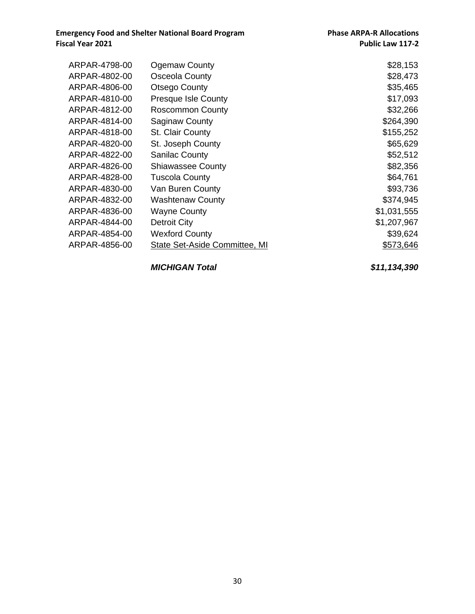| ARPAR-4798-00 | <b>Ogemaw County</b>                 | \$28,153    |
|---------------|--------------------------------------|-------------|
| ARPAR-4802-00 | Osceola County                       | \$28,473    |
| ARPAR-4806-00 | Otsego County                        | \$35,465    |
| ARPAR-4810-00 | <b>Presque Isle County</b>           | \$17,093    |
| ARPAR-4812-00 | <b>Roscommon County</b>              | \$32,266    |
| ARPAR-4814-00 | <b>Saginaw County</b>                | \$264,390   |
| ARPAR-4818-00 | St. Clair County                     | \$155,252   |
| ARPAR-4820-00 | St. Joseph County                    | \$65,629    |
| ARPAR-4822-00 | <b>Sanilac County</b>                | \$52,512    |
| ARPAR-4826-00 | <b>Shiawassee County</b>             | \$82,356    |
| ARPAR-4828-00 | <b>Tuscola County</b>                | \$64,761    |
| ARPAR-4830-00 | Van Buren County                     | \$93,736    |
| ARPAR-4832-00 | <b>Washtenaw County</b>              | \$374,945   |
| ARPAR-4836-00 | <b>Wayne County</b>                  | \$1,031,555 |
| ARPAR-4844-00 | Detroit City                         | \$1,207,967 |
| ARPAR-4854-00 | <b>Wexford County</b>                | \$39,624    |
| ARPAR-4856-00 | <b>State Set-Aside Committee, MI</b> | \$573,646   |
|               |                                      |             |

*MICHIGAN Total \$11,134,390*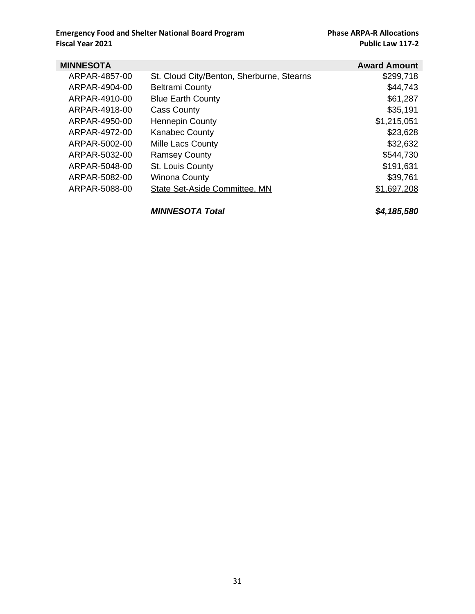| <b>MINNESOTA</b> |                                           | <b>Award Amount</b> |
|------------------|-------------------------------------------|---------------------|
| ARPAR-4857-00    | St. Cloud City/Benton, Sherburne, Stearns | \$299,718           |
| ARPAR-4904-00    | <b>Beltrami County</b>                    | \$44,743            |
| ARPAR-4910-00    | <b>Blue Earth County</b>                  | \$61,287            |
| ARPAR-4918-00    | <b>Cass County</b>                        | \$35,191            |
| ARPAR-4950-00    | <b>Hennepin County</b>                    | \$1,215,051         |
| ARPAR-4972-00    | <b>Kanabec County</b>                     | \$23,628            |
| ARPAR-5002-00    | Mille Lacs County                         | \$32,632            |
| ARPAR-5032-00    | <b>Ramsey County</b>                      | \$544,730           |
| ARPAR-5048-00    | St. Louis County                          | \$191,631           |
| ARPAR-5082-00    | <b>Winona County</b>                      | \$39,761            |
| ARPAR-5088-00    | State Set-Aside Committee, MN             | \$1,697,208         |
|                  |                                           |                     |
|                  |                                           |                     |

*MINNESOTA Total \$4,185,580*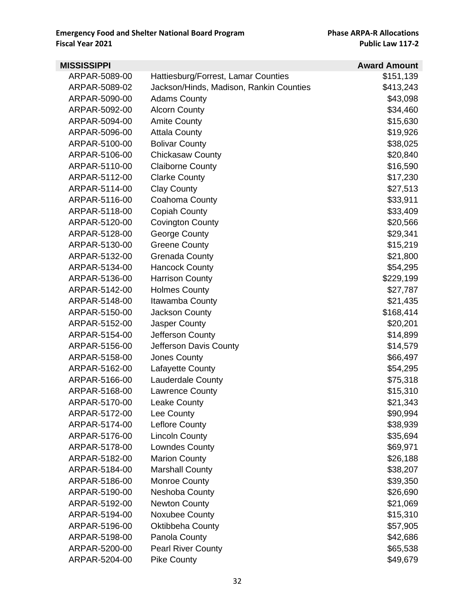| <b>MISSISSIPPI</b> |                                         | <b>Award Amount</b> |
|--------------------|-----------------------------------------|---------------------|
| ARPAR-5089-00      | Hattiesburg/Forrest, Lamar Counties     | \$151,139           |
| ARPAR-5089-02      | Jackson/Hinds, Madison, Rankin Counties | \$413,243           |
| ARPAR-5090-00      | <b>Adams County</b>                     | \$43,098            |
| ARPAR-5092-00      | <b>Alcorn County</b>                    | \$34,460            |
| ARPAR-5094-00      | <b>Amite County</b>                     | \$15,630            |
| ARPAR-5096-00      | <b>Attala County</b>                    | \$19,926            |
| ARPAR-5100-00      | <b>Bolivar County</b>                   | \$38,025            |
| ARPAR-5106-00      | <b>Chickasaw County</b>                 | \$20,840            |
| ARPAR-5110-00      | <b>Claiborne County</b>                 | \$16,590            |
| ARPAR-5112-00      | <b>Clarke County</b>                    | \$17,230            |
| ARPAR-5114-00      | <b>Clay County</b>                      | \$27,513            |
| ARPAR-5116-00      | Coahoma County                          | \$33,911            |
| ARPAR-5118-00      | <b>Copiah County</b>                    | \$33,409            |
| ARPAR-5120-00      | <b>Covington County</b>                 | \$20,566            |
| ARPAR-5128-00      | George County                           | \$29,341            |
| ARPAR-5130-00      | <b>Greene County</b>                    | \$15,219            |
| ARPAR-5132-00      | <b>Grenada County</b>                   | \$21,800            |
| ARPAR-5134-00      | <b>Hancock County</b>                   | \$54,295            |
| ARPAR-5136-00      | <b>Harrison County</b>                  | \$229,199           |
| ARPAR-5142-00      | <b>Holmes County</b>                    | \$27,787            |
| ARPAR-5148-00      | Itawamba County                         | \$21,435            |
| ARPAR-5150-00      | <b>Jackson County</b>                   | \$168,414           |
| ARPAR-5152-00      | <b>Jasper County</b>                    | \$20,201            |
| ARPAR-5154-00      | Jefferson County                        | \$14,899            |
| ARPAR-5156-00      | Jefferson Davis County                  | \$14,579            |
| ARPAR-5158-00      | Jones County                            | \$66,497            |
| ARPAR-5162-00      | Lafayette County                        | \$54,295            |
| ARPAR-5166-00      | <b>Lauderdale County</b>                | \$75,318            |
| ARPAR-5168-00      | <b>Lawrence County</b>                  | \$15,310            |
| ARPAR-5170-00      | <b>Leake County</b>                     | \$21,343            |
| ARPAR-5172-00      | Lee County                              | \$90,994            |
| ARPAR-5174-00      | Leflore County                          | \$38,939            |
| ARPAR-5176-00      | <b>Lincoln County</b>                   | \$35,694            |
| ARPAR-5178-00      | Lowndes County                          | \$69,971            |
| ARPAR-5182-00      | <b>Marion County</b>                    | \$26,188            |
| ARPAR-5184-00      | <b>Marshall County</b>                  | \$38,207            |
| ARPAR-5186-00      | Monroe County                           | \$39,350            |
| ARPAR-5190-00      | Neshoba County                          | \$26,690            |
| ARPAR-5192-00      | <b>Newton County</b>                    | \$21,069            |
| ARPAR-5194-00      | Noxubee County                          | \$15,310            |
| ARPAR-5196-00      | Oktibbeha County                        | \$57,905            |
| ARPAR-5198-00      | Panola County                           | \$42,686            |
| ARPAR-5200-00      | <b>Pearl River County</b>               | \$65,538            |
| ARPAR-5204-00      | <b>Pike County</b>                      | \$49,679            |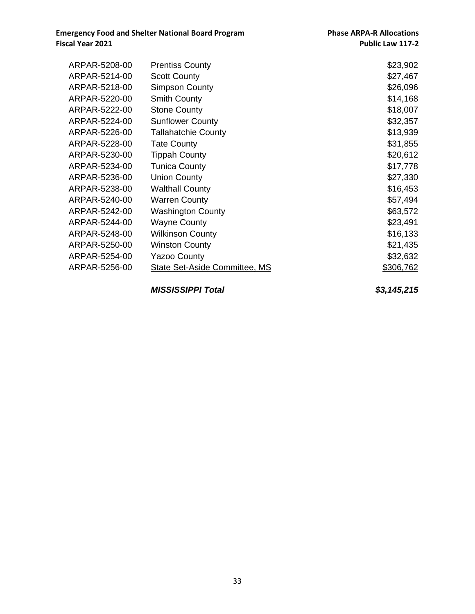| ARPAR-5208-00 | <b>Prentiss County</b>               | \$23,902         |
|---------------|--------------------------------------|------------------|
| ARPAR-5214-00 | <b>Scott County</b>                  | \$27,467         |
| ARPAR-5218-00 | <b>Simpson County</b>                | \$26,096         |
| ARPAR-5220-00 | <b>Smith County</b>                  | \$14,168         |
| ARPAR-5222-00 | <b>Stone County</b>                  | \$18,007         |
| ARPAR-5224-00 | <b>Sunflower County</b>              | \$32,357         |
| ARPAR-5226-00 | <b>Tallahatchie County</b>           | \$13,939         |
| ARPAR-5228-00 | <b>Tate County</b>                   | \$31,855         |
| ARPAR-5230-00 | <b>Tippah County</b>                 | \$20,612         |
| ARPAR-5234-00 | <b>Tunica County</b>                 | \$17,778         |
| ARPAR-5236-00 | <b>Union County</b>                  | \$27,330         |
| ARPAR-5238-00 | <b>Walthall County</b>               | \$16,453         |
| ARPAR-5240-00 | <b>Warren County</b>                 | \$57,494         |
| ARPAR-5242-00 | Washington County                    | \$63,572         |
| ARPAR-5244-00 | <b>Wayne County</b>                  | \$23,491         |
| ARPAR-5248-00 | <b>Wilkinson County</b>              | \$16,133         |
| ARPAR-5250-00 | <b>Winston County</b>                | \$21,435         |
| ARPAR-5254-00 | <b>Yazoo County</b>                  | \$32,632         |
| ARPAR-5256-00 | <b>State Set-Aside Committee, MS</b> | <u>\$306,762</u> |
|               |                                      |                  |

*MISSISSIPPI Total \$3,145,215*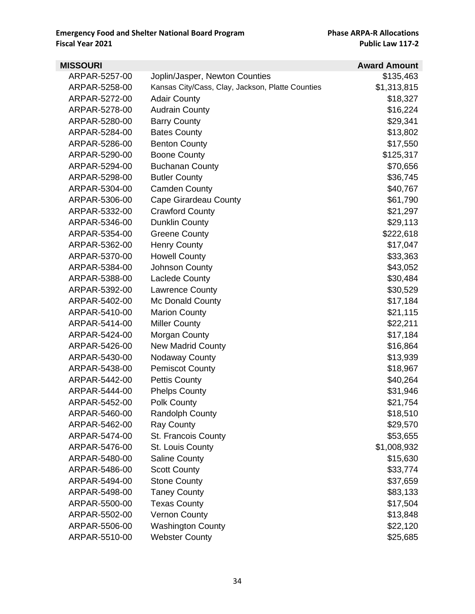| <b>MISSOURI</b> |                                                  | <b>Award Amount</b> |
|-----------------|--------------------------------------------------|---------------------|
| ARPAR-5257-00   | Joplin/Jasper, Newton Counties                   | \$135,463           |
| ARPAR-5258-00   | Kansas City/Cass, Clay, Jackson, Platte Counties | \$1,313,815         |
| ARPAR-5272-00   | <b>Adair County</b>                              | \$18,327            |
| ARPAR-5278-00   | <b>Audrain County</b>                            | \$16,224            |
| ARPAR-5280-00   | <b>Barry County</b>                              | \$29,341            |
| ARPAR-5284-00   | <b>Bates County</b>                              | \$13,802            |
| ARPAR-5286-00   | <b>Benton County</b>                             | \$17,550            |
| ARPAR-5290-00   | <b>Boone County</b>                              | \$125,317           |
| ARPAR-5294-00   | <b>Buchanan County</b>                           | \$70,656            |
| ARPAR-5298-00   | <b>Butler County</b>                             | \$36,745            |
| ARPAR-5304-00   | <b>Camden County</b>                             | \$40,767            |
| ARPAR-5306-00   | Cape Girardeau County                            | \$61,790            |
| ARPAR-5332-00   | <b>Crawford County</b>                           | \$21,297            |
| ARPAR-5346-00   | <b>Dunklin County</b>                            | \$29,113            |
| ARPAR-5354-00   | <b>Greene County</b>                             | \$222,618           |
| ARPAR-5362-00   | <b>Henry County</b>                              | \$17,047            |
| ARPAR-5370-00   | <b>Howell County</b>                             | \$33,363            |
| ARPAR-5384-00   | Johnson County                                   | \$43,052            |
| ARPAR-5388-00   | Laclede County                                   | \$30,484            |
| ARPAR-5392-00   | Lawrence County                                  | \$30,529            |
| ARPAR-5402-00   | Mc Donald County                                 | \$17,184            |
| ARPAR-5410-00   | <b>Marion County</b>                             | \$21,115            |
| ARPAR-5414-00   | <b>Miller County</b>                             | \$22,211            |
| ARPAR-5424-00   | Morgan County                                    | \$17,184            |
| ARPAR-5426-00   | <b>New Madrid County</b>                         | \$16,864            |
| ARPAR-5430-00   | <b>Nodaway County</b>                            | \$13,939            |
| ARPAR-5438-00   | <b>Pemiscot County</b>                           | \$18,967            |
| ARPAR-5442-00   | <b>Pettis County</b>                             | \$40,264            |
| ARPAR-5444-00   | <b>Phelps County</b>                             | \$31,946            |
| ARPAR-5452-00   | Polk County                                      | \$21,754            |
| ARPAR-5460-00   | <b>Randolph County</b>                           | \$18,510            |
| ARPAR-5462-00   | <b>Ray County</b>                                | \$29,570            |
| ARPAR-5474-00   | St. Francois County                              | \$53,655            |
| ARPAR-5476-00   | St. Louis County                                 | \$1,008,932         |
| ARPAR-5480-00   | <b>Saline County</b>                             | \$15,630            |
| ARPAR-5486-00   | <b>Scott County</b>                              | \$33,774            |
| ARPAR-5494-00   | <b>Stone County</b>                              | \$37,659            |
| ARPAR-5498-00   | <b>Taney County</b>                              | \$83,133            |
| ARPAR-5500-00   | <b>Texas County</b>                              | \$17,504            |
| ARPAR-5502-00   | <b>Vernon County</b>                             | \$13,848            |
| ARPAR-5506-00   | <b>Washington County</b>                         | \$22,120            |
| ARPAR-5510-00   | <b>Webster County</b>                            | \$25,685            |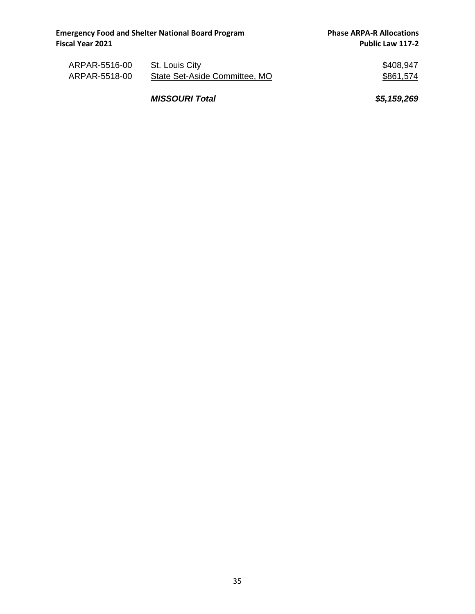| ARPAR-5516-00 | St. Louis City                | \$408,947 |
|---------------|-------------------------------|-----------|
| ARPAR-5518-00 | State Set-Aside Committee, MO | \$861,574 |

*MISSOURI Total \$5,159,269*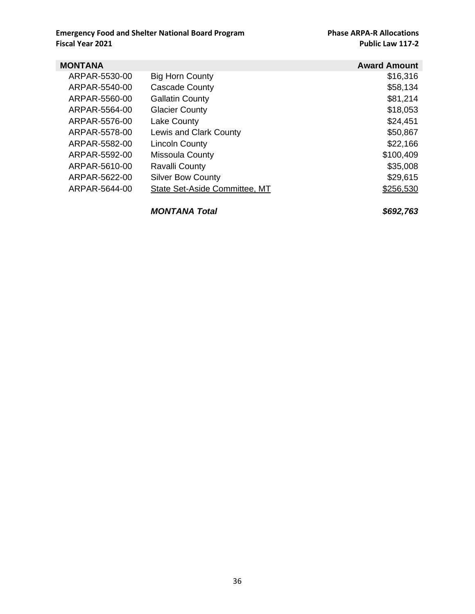| MONTANA       |                               | <b>Award Amount</b> |
|---------------|-------------------------------|---------------------|
| ARPAR-5530-00 | <b>Big Horn County</b>        | \$16,316            |
| ARPAR-5540-00 | <b>Cascade County</b>         | \$58,134            |
| ARPAR-5560-00 | <b>Gallatin County</b>        | \$81,214            |
| ARPAR-5564-00 | <b>Glacier County</b>         | \$18,053            |
| ARPAR-5576-00 | Lake County                   | \$24,451            |
| ARPAR-5578-00 | Lewis and Clark County        | \$50,867            |
| ARPAR-5582-00 | <b>Lincoln County</b>         | \$22,166            |
| ARPAR-5592-00 | <b>Missoula County</b>        | \$100,409           |
| ARPAR-5610-00 | Ravalli County                | \$35,008            |
| ARPAR-5622-00 | <b>Silver Bow County</b>      | \$29,615            |
| ARPAR-5644-00 | State Set-Aside Committee, MT | \$256,530           |
|               |                               |                     |

*MONTANA Total \$692,763*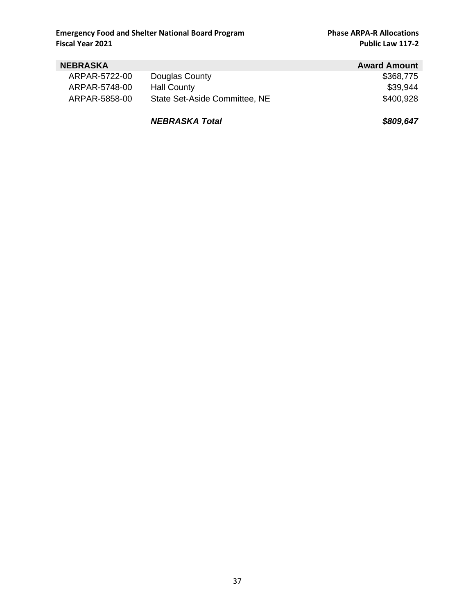| <b>NEBRASKA</b> |                               | <b>Award Amount</b> |
|-----------------|-------------------------------|---------------------|
| ARPAR-5722-00   | Douglas County                | \$368,775           |
| ARPAR-5748-00   | Hall County                   | \$39,944            |
| ARPAR-5858-00   | State Set-Aside Committee, NE | \$400,928           |
|                 |                               |                     |

*NEBRASKA Total \$809,647*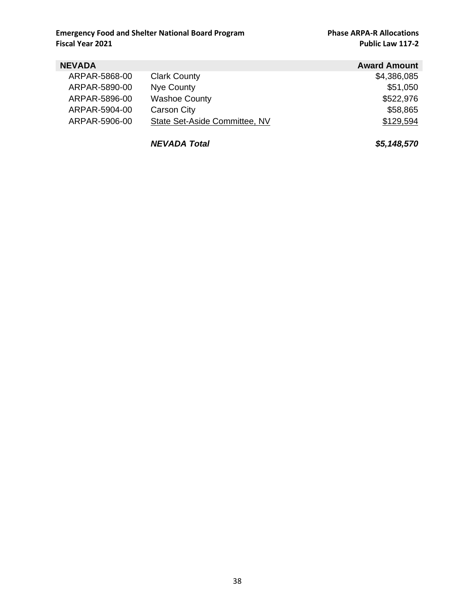| <b>NEVADA</b> |                               | <b>Award Amount</b> |
|---------------|-------------------------------|---------------------|
| ARPAR-5868-00 | <b>Clark County</b>           | \$4,386,085         |
| ARPAR-5890-00 | Nye County                    | \$51,050            |
| ARPAR-5896-00 | <b>Washoe County</b>          | \$522,976           |
| ARPAR-5904-00 | Carson City                   | \$58,865            |
| ARPAR-5906-00 | State Set-Aside Committee, NV | \$129,594           |

*NEVADA Total \$5,148,570*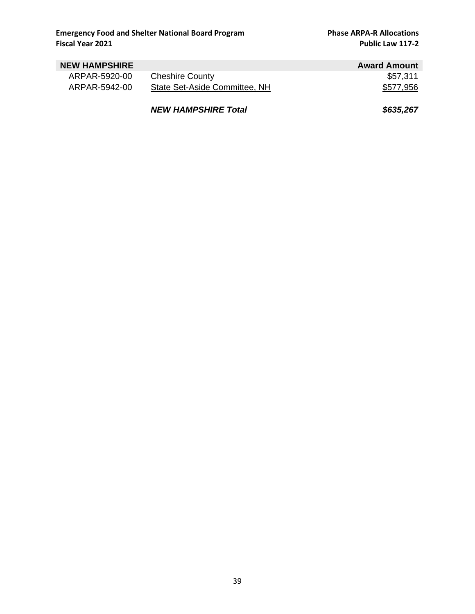| <b>NEW HAMPSHIRE</b> |                               | <b>Award Amount</b> |
|----------------------|-------------------------------|---------------------|
| ARPAR-5920-00        | <b>Cheshire County</b>        | \$57,311            |
| ARPAR-5942-00        | State Set-Aside Committee, NH | \$577,956           |
|                      | <b>NEW HAMPSHIRE Total</b>    | \$635,267           |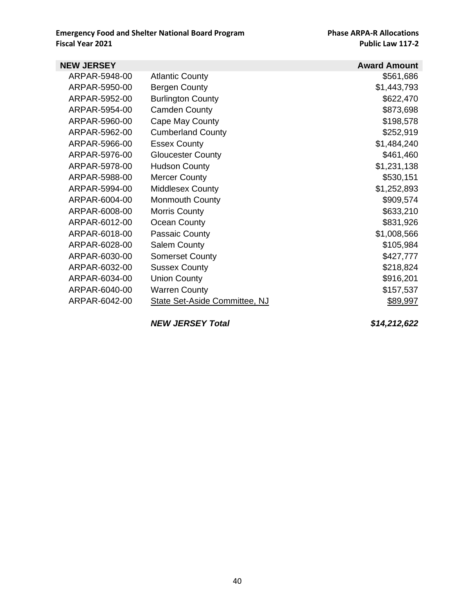| <b>NEW JERSEY</b> |                               | <b>Award Amount</b> |
|-------------------|-------------------------------|---------------------|
| ARPAR-5948-00     | <b>Atlantic County</b>        | \$561,686           |
| ARPAR-5950-00     | Bergen County                 | \$1,443,793         |
| ARPAR-5952-00     | <b>Burlington County</b>      | \$622,470           |
| ARPAR-5954-00     | <b>Camden County</b>          | \$873,698           |
| ARPAR-5960-00     | Cape May County               | \$198,578           |
| ARPAR-5962-00     | <b>Cumberland County</b>      | \$252,919           |
| ARPAR-5966-00     | <b>Essex County</b>           | \$1,484,240         |
| ARPAR-5976-00     | <b>Gloucester County</b>      | \$461,460           |
| ARPAR-5978-00     | <b>Hudson County</b>          | \$1,231,138         |
| ARPAR-5988-00     | <b>Mercer County</b>          | \$530,151           |
| ARPAR-5994-00     | Middlesex County              | \$1,252,893         |
| ARPAR-6004-00     | Monmouth County               | \$909,574           |
| ARPAR-6008-00     | <b>Morris County</b>          | \$633,210           |
| ARPAR-6012-00     | Ocean County                  | \$831,926           |
| ARPAR-6018-00     | Passaic County                | \$1,008,566         |
| ARPAR-6028-00     | <b>Salem County</b>           | \$105,984           |
| ARPAR-6030-00     | <b>Somerset County</b>        | \$427,777           |
| ARPAR-6032-00     | <b>Sussex County</b>          | \$218,824           |
| ARPAR-6034-00     | <b>Union County</b>           | \$916,201           |
| ARPAR-6040-00     | <b>Warren County</b>          | \$157,537           |
| ARPAR-6042-00     | State Set-Aside Committee, NJ | \$89,997            |
|                   |                               |                     |

*NEW JERSEY Total \$14,212,622*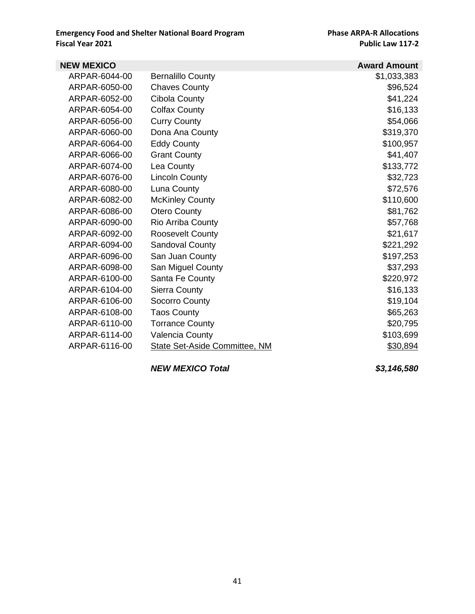| <b>NEW MEXICO</b> |                               | <b>Award Amount</b> |
|-------------------|-------------------------------|---------------------|
| ARPAR-6044-00     | <b>Bernalillo County</b>      | \$1,033,383         |
| ARPAR-6050-00     | <b>Chaves County</b>          | \$96,524            |
| ARPAR-6052-00     | Cibola County                 | \$41,224            |
| ARPAR-6054-00     | <b>Colfax County</b>          | \$16,133            |
| ARPAR-6056-00     | <b>Curry County</b>           | \$54,066            |
| ARPAR-6060-00     | Dona Ana County               | \$319,370           |
| ARPAR-6064-00     | <b>Eddy County</b>            | \$100,957           |
| ARPAR-6066-00     | <b>Grant County</b>           | \$41,407            |
| ARPAR-6074-00     | Lea County                    | \$133,772           |
| ARPAR-6076-00     | <b>Lincoln County</b>         | \$32,723            |
| ARPAR-6080-00     | Luna County                   | \$72,576            |
| ARPAR-6082-00     | <b>McKinley County</b>        | \$110,600           |
| ARPAR-6086-00     | <b>Otero County</b>           | \$81,762            |
| ARPAR-6090-00     | <b>Rio Arriba County</b>      | \$57,768            |
| ARPAR-6092-00     | <b>Roosevelt County</b>       | \$21,617            |
| ARPAR-6094-00     | Sandoval County               | \$221,292           |
| ARPAR-6096-00     | San Juan County               | \$197,253           |
| ARPAR-6098-00     | San Miguel County             | \$37,293            |
| ARPAR-6100-00     | Santa Fe County               | \$220,972           |
| ARPAR-6104-00     | Sierra County                 | \$16,133            |
| ARPAR-6106-00     | Socorro County                | \$19,104            |
| ARPAR-6108-00     | <b>Taos County</b>            | \$65,263            |
| ARPAR-6110-00     | <b>Torrance County</b>        | \$20,795            |
| ARPAR-6114-00     | Valencia County               | \$103,699           |
| ARPAR-6116-00     | State Set-Aside Committee, NM | \$30,894            |
|                   |                               |                     |

*NEW MEXICO Total \$3,146,580*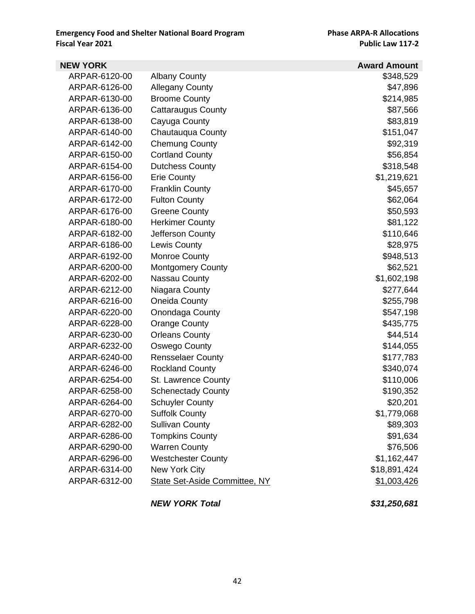| <b>NEW YORK</b> |                                      | <b>Award Amount</b> |
|-----------------|--------------------------------------|---------------------|
| ARPAR-6120-00   | <b>Albany County</b>                 | \$348,529           |
| ARPAR-6126-00   | <b>Allegany County</b>               | \$47,896            |
| ARPAR-6130-00   | <b>Broome County</b>                 | \$214,985           |
| ARPAR-6136-00   | <b>Cattaraugus County</b>            | \$87,566            |
| ARPAR-6138-00   | Cayuga County                        | \$83,819            |
| ARPAR-6140-00   | Chautauqua County                    | \$151,047           |
| ARPAR-6142-00   | <b>Chemung County</b>                | \$92,319            |
| ARPAR-6150-00   | <b>Cortland County</b>               | \$56,854            |
| ARPAR-6154-00   | <b>Dutchess County</b>               | \$318,548           |
| ARPAR-6156-00   | <b>Erie County</b>                   | \$1,219,621         |
| ARPAR-6170-00   | <b>Franklin County</b>               | \$45,657            |
| ARPAR-6172-00   | <b>Fulton County</b>                 | \$62,064            |
| ARPAR-6176-00   | <b>Greene County</b>                 | \$50,593            |
| ARPAR-6180-00   | <b>Herkimer County</b>               | \$81,122            |
| ARPAR-6182-00   | Jefferson County                     | \$110,646           |
| ARPAR-6186-00   | <b>Lewis County</b>                  | \$28,975            |
| ARPAR-6192-00   | Monroe County                        | \$948,513           |
| ARPAR-6200-00   | <b>Montgomery County</b>             | \$62,521            |
| ARPAR-6202-00   | Nassau County                        | \$1,602,198         |
| ARPAR-6212-00   | Niagara County                       | \$277,644           |
| ARPAR-6216-00   | Oneida County                        | \$255,798           |
| ARPAR-6220-00   | Onondaga County                      | \$547,198           |
| ARPAR-6228-00   | <b>Orange County</b>                 | \$435,775           |
| ARPAR-6230-00   | <b>Orleans County</b>                | \$44,514            |
| ARPAR-6232-00   | Oswego County                        | \$144,055           |
| ARPAR-6240-00   | <b>Rensselaer County</b>             | \$177,783           |
| ARPAR-6246-00   | <b>Rockland County</b>               | \$340,074           |
| ARPAR-6254-00   | St. Lawrence County                  | \$110,006           |
| ARPAR-6258-00   | <b>Schenectady County</b>            | \$190,352           |
| ARPAR-6264-00   | <b>Schuyler County</b>               | \$20,201            |
| ARPAR-6270-00   | <b>Suffolk County</b>                | \$1,779,068         |
| ARPAR-6282-00   | <b>Sullivan County</b>               | \$89,303            |
| ARPAR-6286-00   | <b>Tompkins County</b>               | \$91,634            |
| ARPAR-6290-00   | <b>Warren County</b>                 | \$76,506            |
| ARPAR-6296-00   | <b>Westchester County</b>            | \$1,162,447         |
| ARPAR-6314-00   | New York City                        | \$18,891,424        |
| ARPAR-6312-00   | <b>State Set-Aside Committee, NY</b> | \$1,003,426         |
|                 | <b>NEW YORK Total</b>                | \$31,250,681        |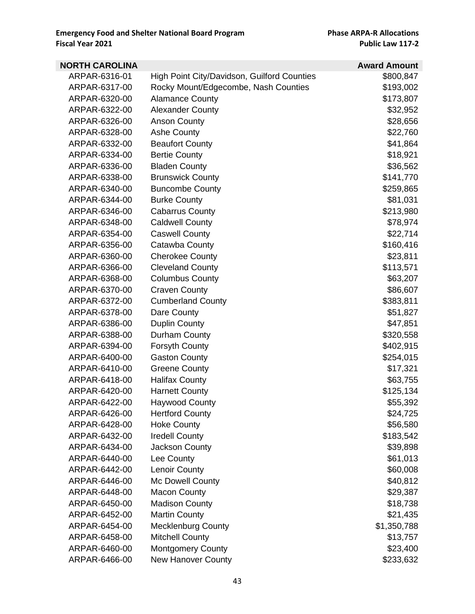| <b>NORTH CAROLINA</b> |                                             | <b>Award Amount</b> |
|-----------------------|---------------------------------------------|---------------------|
| ARPAR-6316-01         | High Point City/Davidson, Guilford Counties | \$800,847           |
| ARPAR-6317-00         | Rocky Mount/Edgecombe, Nash Counties        | \$193,002           |
| ARPAR-6320-00         | <b>Alamance County</b>                      | \$173,807           |
| ARPAR-6322-00         | <b>Alexander County</b>                     | \$32,952            |
| ARPAR-6326-00         | <b>Anson County</b>                         | \$28,656            |
| ARPAR-6328-00         | <b>Ashe County</b>                          | \$22,760            |
| ARPAR-6332-00         | <b>Beaufort County</b>                      | \$41,864            |
| ARPAR-6334-00         | <b>Bertie County</b>                        | \$18,921            |
| ARPAR-6336-00         | <b>Bladen County</b>                        | \$36,562            |
| ARPAR-6338-00         | <b>Brunswick County</b>                     | \$141,770           |
| ARPAR-6340-00         | <b>Buncombe County</b>                      | \$259,865           |
| ARPAR-6344-00         | <b>Burke County</b>                         | \$81,031            |
| ARPAR-6346-00         | <b>Cabarrus County</b>                      | \$213,980           |
| ARPAR-6348-00         | <b>Caldwell County</b>                      | \$78,974            |
| ARPAR-6354-00         | <b>Caswell County</b>                       | \$22,714            |
| ARPAR-6356-00         | Catawba County                              | \$160,416           |
| ARPAR-6360-00         | <b>Cherokee County</b>                      | \$23,811            |
| ARPAR-6366-00         | <b>Cleveland County</b>                     | \$113,571           |
| ARPAR-6368-00         | <b>Columbus County</b>                      | \$63,207            |
| ARPAR-6370-00         | <b>Craven County</b>                        | \$86,607            |
| ARPAR-6372-00         | <b>Cumberland County</b>                    | \$383,811           |
| ARPAR-6378-00         | Dare County                                 | \$51,827            |
| ARPAR-6386-00         | <b>Duplin County</b>                        | \$47,851            |
| ARPAR-6388-00         | Durham County                               | \$320,558           |
| ARPAR-6394-00         | <b>Forsyth County</b>                       | \$402,915           |
| ARPAR-6400-00         | <b>Gaston County</b>                        | \$254,015           |
| ARPAR-6410-00         | <b>Greene County</b>                        | \$17,321            |
| ARPAR-6418-00         | <b>Halifax County</b>                       | \$63,755            |
| ARPAR-6420-00         | <b>Harnett County</b>                       | \$125,134           |
| ARPAR-6422-00         | <b>Haywood County</b>                       | \$55,392            |
| ARPAR-6426-00         | <b>Hertford County</b>                      | \$24,725            |
| ARPAR-6428-00         | <b>Hoke County</b>                          | \$56,580            |
| ARPAR-6432-00         | <b>Iredell County</b>                       | \$183,542           |
| ARPAR-6434-00         | Jackson County                              | \$39,898            |
| ARPAR-6440-00         | Lee County                                  | \$61,013            |
| ARPAR-6442-00         | Lenoir County                               | \$60,008            |
| ARPAR-6446-00         | Mc Dowell County                            | \$40,812            |
| ARPAR-6448-00         | <b>Macon County</b>                         | \$29,387            |
| ARPAR-6450-00         | <b>Madison County</b>                       | \$18,738            |
| ARPAR-6452-00         | <b>Martin County</b>                        | \$21,435            |
| ARPAR-6454-00         | <b>Mecklenburg County</b>                   | \$1,350,788         |
| ARPAR-6458-00         | <b>Mitchell County</b>                      | \$13,757            |
| ARPAR-6460-00         | <b>Montgomery County</b>                    | \$23,400            |
| ARPAR-6466-00         | <b>New Hanover County</b>                   | \$233,632           |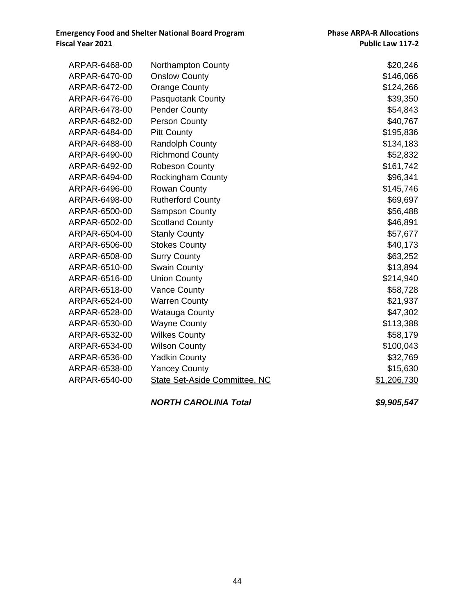| ARPAR-6468-00 | <b>Northampton County</b>            | \$20,246    |
|---------------|--------------------------------------|-------------|
| ARPAR-6470-00 | <b>Onslow County</b>                 | \$146,066   |
| ARPAR-6472-00 | <b>Orange County</b>                 | \$124,266   |
| ARPAR-6476-00 | <b>Pasquotank County</b>             | \$39,350    |
| ARPAR-6478-00 | <b>Pender County</b>                 | \$54,843    |
| ARPAR-6482-00 | Person County                        | \$40,767    |
| ARPAR-6484-00 | <b>Pitt County</b>                   | \$195,836   |
| ARPAR-6488-00 | Randolph County                      | \$134,183   |
| ARPAR-6490-00 | <b>Richmond County</b>               | \$52,832    |
| ARPAR-6492-00 | <b>Robeson County</b>                | \$161,742   |
| ARPAR-6494-00 | <b>Rockingham County</b>             | \$96,341    |
| ARPAR-6496-00 | <b>Rowan County</b>                  | \$145,746   |
| ARPAR-6498-00 | <b>Rutherford County</b>             | \$69,697    |
| ARPAR-6500-00 | <b>Sampson County</b>                | \$56,488    |
| ARPAR-6502-00 | <b>Scotland County</b>               | \$46,891    |
| ARPAR-6504-00 | <b>Stanly County</b>                 | \$57,677    |
| ARPAR-6506-00 | <b>Stokes County</b>                 | \$40,173    |
| ARPAR-6508-00 | <b>Surry County</b>                  | \$63,252    |
| ARPAR-6510-00 | <b>Swain County</b>                  | \$13,894    |
| ARPAR-6516-00 | <b>Union County</b>                  | \$214,940   |
| ARPAR-6518-00 | <b>Vance County</b>                  | \$58,728    |
| ARPAR-6524-00 | <b>Warren County</b>                 | \$21,937    |
| ARPAR-6528-00 | <b>Watauga County</b>                | \$47,302    |
| ARPAR-6530-00 | <b>Wayne County</b>                  | \$113,388   |
| ARPAR-6532-00 | <b>Wilkes County</b>                 | \$58,179    |
| ARPAR-6534-00 | <b>Wilson County</b>                 | \$100,043   |
| ARPAR-6536-00 | <b>Yadkin County</b>                 | \$32,769    |
| ARPAR-6538-00 | <b>Yancey County</b>                 | \$15,630    |
| ARPAR-6540-00 | <b>State Set-Aside Committee, NC</b> | \$1,206,730 |
|               |                                      |             |

#### *NORTH CAROLINA Total \$9,905,547*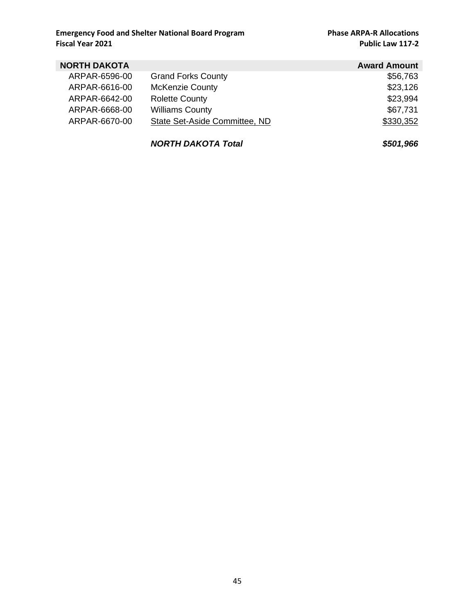### **Emergency Food and Shelter National Board Program Phase ARPA-R Allocations**<br>Public Law 117-2

**Public Law 117-2** 

| <b>NORTH DAKOTA</b> |                               | <b>Award Amount</b> |
|---------------------|-------------------------------|---------------------|
| ARPAR-6596-00       | <b>Grand Forks County</b>     | \$56,763            |
| ARPAR-6616-00       | <b>McKenzie County</b>        | \$23,126            |
| ARPAR-6642-00       | <b>Rolette County</b>         | \$23,994            |
| ARPAR-6668-00       | <b>Williams County</b>        | \$67,731            |
| ARPAR-6670-00       | State Set-Aside Committee, ND | \$330,352           |
|                     |                               |                     |

*NORTH DAKOTA Total \$501,966*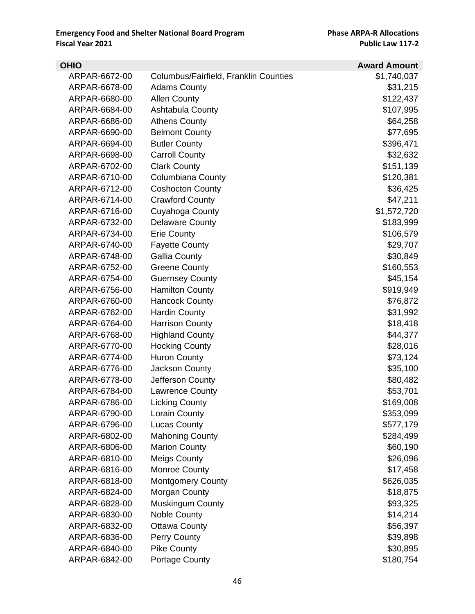| <b>OHIO</b>   |                                       | <b>Award Amount</b> |
|---------------|---------------------------------------|---------------------|
| ARPAR-6672-00 | Columbus/Fairfield, Franklin Counties | \$1,740,037         |
| ARPAR-6678-00 | <b>Adams County</b>                   | \$31,215            |
| ARPAR-6680-00 | <b>Allen County</b>                   | \$122,437           |
| ARPAR-6684-00 | Ashtabula County                      | \$107,995           |
| ARPAR-6686-00 | <b>Athens County</b>                  | \$64,258            |
| ARPAR-6690-00 | <b>Belmont County</b>                 | \$77,695            |
| ARPAR-6694-00 | <b>Butler County</b>                  | \$396,471           |
| ARPAR-6698-00 | <b>Carroll County</b>                 | \$32,632            |
| ARPAR-6702-00 | <b>Clark County</b>                   | \$151,139           |
| ARPAR-6710-00 | <b>Columbiana County</b>              | \$120,381           |
| ARPAR-6712-00 | <b>Coshocton County</b>               | \$36,425            |
| ARPAR-6714-00 | <b>Crawford County</b>                | \$47,211            |
| ARPAR-6716-00 | Cuyahoga County                       | \$1,572,720         |
| ARPAR-6732-00 | <b>Delaware County</b>                | \$183,999           |
| ARPAR-6734-00 | <b>Erie County</b>                    | \$106,579           |
| ARPAR-6740-00 | <b>Fayette County</b>                 | \$29,707            |
| ARPAR-6748-00 | <b>Gallia County</b>                  | \$30,849            |
| ARPAR-6752-00 | <b>Greene County</b>                  | \$160,553           |
| ARPAR-6754-00 | <b>Guernsey County</b>                | \$45,154            |
| ARPAR-6756-00 | <b>Hamilton County</b>                | \$919,949           |
| ARPAR-6760-00 | <b>Hancock County</b>                 | \$76,872            |
| ARPAR-6762-00 | <b>Hardin County</b>                  | \$31,992            |
| ARPAR-6764-00 | <b>Harrison County</b>                | \$18,418            |
| ARPAR-6768-00 | <b>Highland County</b>                | \$44,377            |
| ARPAR-6770-00 | <b>Hocking County</b>                 | \$28,016            |
| ARPAR-6774-00 | <b>Huron County</b>                   | \$73,124            |
| ARPAR-6776-00 | Jackson County                        | \$35,100            |
| ARPAR-6778-00 | Jefferson County                      | \$80,482            |
| ARPAR-6784-00 | <b>Lawrence County</b>                | \$53,701            |
| ARPAR-6786-00 | <b>Licking County</b>                 | \$169,008           |
| ARPAR-6790-00 | Lorain County                         | \$353,099           |
| ARPAR-6796-00 | <b>Lucas County</b>                   | \$577,179           |
| ARPAR-6802-00 | <b>Mahoning County</b>                | \$284,499           |
| ARPAR-6806-00 | <b>Marion County</b>                  | \$60,190            |
| ARPAR-6810-00 | <b>Meigs County</b>                   | \$26,096            |
| ARPAR-6816-00 | Monroe County                         | \$17,458            |
| ARPAR-6818-00 | <b>Montgomery County</b>              | \$626,035           |
| ARPAR-6824-00 | Morgan County                         | \$18,875            |
| ARPAR-6828-00 | <b>Muskingum County</b>               | \$93,325            |
| ARPAR-6830-00 | <b>Noble County</b>                   | \$14,214            |
| ARPAR-6832-00 | <b>Ottawa County</b>                  | \$56,397            |
| ARPAR-6836-00 | Perry County                          | \$39,898            |
| ARPAR-6840-00 | <b>Pike County</b>                    | \$30,895            |
| ARPAR-6842-00 | Portage County                        | \$180,754           |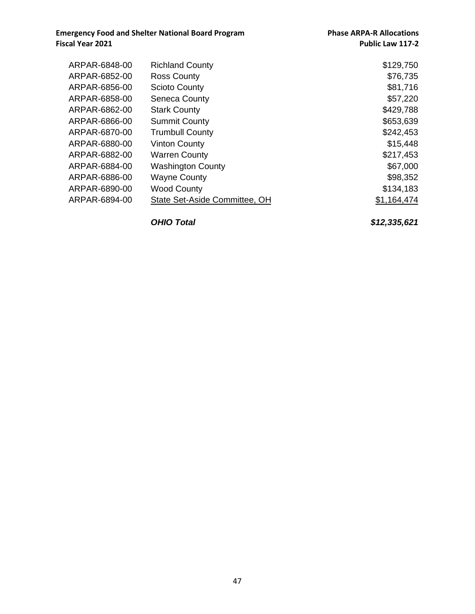| ARPAR-6848-00 | <b>Richland County</b>        | \$129,750   |
|---------------|-------------------------------|-------------|
| ARPAR-6852-00 | <b>Ross County</b>            | \$76,735    |
| ARPAR-6856-00 | <b>Scioto County</b>          | \$81,716    |
| ARPAR-6858-00 | <b>Seneca County</b>          | \$57,220    |
| ARPAR-6862-00 | <b>Stark County</b>           | \$429,788   |
| ARPAR-6866-00 | <b>Summit County</b>          | \$653,639   |
| ARPAR-6870-00 | <b>Trumbull County</b>        | \$242,453   |
| ARPAR-6880-00 | <b>Vinton County</b>          | \$15,448    |
| ARPAR-6882-00 | <b>Warren County</b>          | \$217,453   |
| ARPAR-6884-00 | <b>Washington County</b>      | \$67,000    |
| ARPAR-6886-00 | <b>Wayne County</b>           | \$98,352    |
| ARPAR-6890-00 | <b>Wood County</b>            | \$134,183   |
| ARPAR-6894-00 | State Set-Aside Committee, OH | \$1,164,474 |

*OHIO Total \$12,335,621*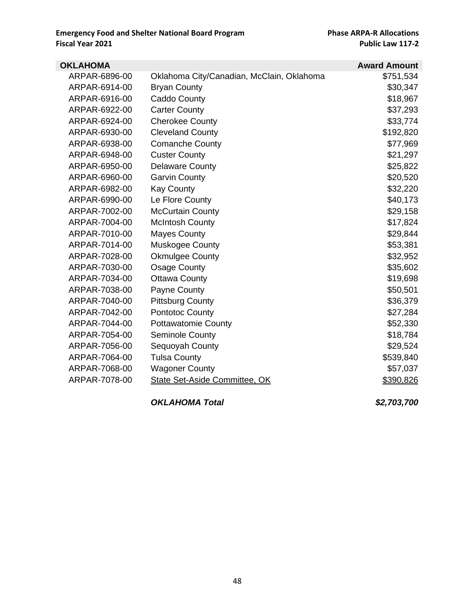| <b>OKLAHOMA</b> |                                           | <b>Award Amount</b> |
|-----------------|-------------------------------------------|---------------------|
| ARPAR-6896-00   | Oklahoma City/Canadian, McClain, Oklahoma | \$751,534           |
| ARPAR-6914-00   | <b>Bryan County</b>                       | \$30,347            |
| ARPAR-6916-00   | Caddo County                              | \$18,967            |
| ARPAR-6922-00   | <b>Carter County</b>                      | \$37,293            |
| ARPAR-6924-00   | <b>Cherokee County</b>                    | \$33,774            |
| ARPAR-6930-00   | <b>Cleveland County</b>                   | \$192,820           |
| ARPAR-6938-00   | <b>Comanche County</b>                    | \$77,969            |
| ARPAR-6948-00   | <b>Custer County</b>                      | \$21,297            |
| ARPAR-6950-00   | <b>Delaware County</b>                    | \$25,822            |
| ARPAR-6960-00   | <b>Garvin County</b>                      | \$20,520            |
| ARPAR-6982-00   | <b>Kay County</b>                         | \$32,220            |
| ARPAR-6990-00   | Le Flore County                           | \$40,173            |
| ARPAR-7002-00   | <b>McCurtain County</b>                   | \$29,158            |
| ARPAR-7004-00   | <b>McIntosh County</b>                    | \$17,824            |
| ARPAR-7010-00   | <b>Mayes County</b>                       | \$29,844            |
| ARPAR-7014-00   | Muskogee County                           | \$53,381            |
| ARPAR-7028-00   | <b>Okmulgee County</b>                    | \$32,952            |
| ARPAR-7030-00   | <b>Osage County</b>                       | \$35,602            |
| ARPAR-7034-00   | <b>Ottawa County</b>                      | \$19,698            |
| ARPAR-7038-00   | Payne County                              | \$50,501            |
| ARPAR-7040-00   | <b>Pittsburg County</b>                   | \$36,379            |
| ARPAR-7042-00   | Pontotoc County                           | \$27,284            |
| ARPAR-7044-00   | <b>Pottawatomie County</b>                | \$52,330            |
| ARPAR-7054-00   | <b>Seminole County</b>                    | \$18,784            |
| ARPAR-7056-00   | Sequoyah County                           | \$29,524            |
| ARPAR-7064-00   | <b>Tulsa County</b>                       | \$539,840           |
| ARPAR-7068-00   | <b>Wagoner County</b>                     | \$57,037            |
| ARPAR-7078-00   | State Set-Aside Committee, OK             | \$390,826           |
|                 |                                           |                     |

*OKLAHOMA Total \$2,703,700*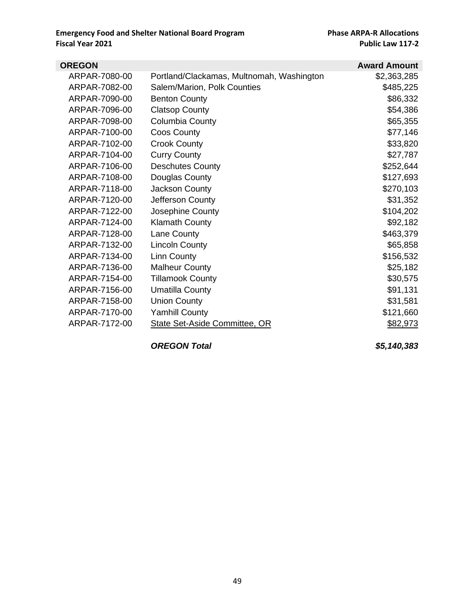| <b>OREGON</b> |                                           | <b>Award Amount</b> |
|---------------|-------------------------------------------|---------------------|
| ARPAR-7080-00 | Portland/Clackamas, Multnomah, Washington | \$2,363,285         |
| ARPAR-7082-00 | Salem/Marion, Polk Counties               | \$485,225           |
| ARPAR-7090-00 | <b>Benton County</b>                      | \$86,332            |
| ARPAR-7096-00 | <b>Clatsop County</b>                     | \$54,386            |
| ARPAR-7098-00 | Columbia County                           | \$65,355            |
| ARPAR-7100-00 | Coos County                               | \$77,146            |
| ARPAR-7102-00 | <b>Crook County</b>                       | \$33,820            |
| ARPAR-7104-00 | <b>Curry County</b>                       | \$27,787            |
| ARPAR-7106-00 | <b>Deschutes County</b>                   | \$252,644           |
| ARPAR-7108-00 | Douglas County                            | \$127,693           |
| ARPAR-7118-00 | Jackson County                            | \$270,103           |
| ARPAR-7120-00 | Jefferson County                          | \$31,352            |
| ARPAR-7122-00 | Josephine County                          | \$104,202           |
| ARPAR-7124-00 | <b>Klamath County</b>                     | \$92,182            |
| ARPAR-7128-00 | Lane County                               | \$463,379           |
| ARPAR-7132-00 | <b>Lincoln County</b>                     | \$65,858            |
| ARPAR-7134-00 | Linn County                               | \$156,532           |
| ARPAR-7136-00 | <b>Malheur County</b>                     | \$25,182            |
| ARPAR-7154-00 | <b>Tillamook County</b>                   | \$30,575            |
| ARPAR-7156-00 | <b>Umatilla County</b>                    | \$91,131            |
| ARPAR-7158-00 | <b>Union County</b>                       | \$31,581            |
| ARPAR-7170-00 | <b>Yamhill County</b>                     | \$121,660           |
| ARPAR-7172-00 | <b>State Set-Aside Committee, OR</b>      | \$82,973            |

*OREGON Total \$5,140,383*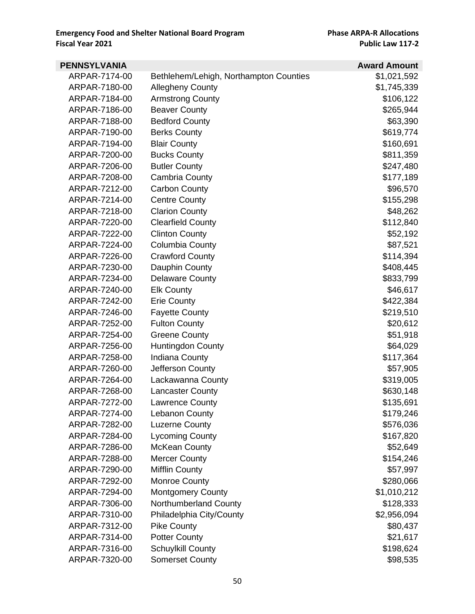| <b>PENNSYLVANIA</b> |                                        | <b>Award Amount</b> |
|---------------------|----------------------------------------|---------------------|
| ARPAR-7174-00       | Bethlehem/Lehigh, Northampton Counties | \$1,021,592         |
| ARPAR-7180-00       | <b>Allegheny County</b>                | \$1,745,339         |
| ARPAR-7184-00       | <b>Armstrong County</b>                | \$106,122           |
| ARPAR-7186-00       | <b>Beaver County</b>                   | \$265,944           |
| ARPAR-7188-00       | <b>Bedford County</b>                  | \$63,390            |
| ARPAR-7190-00       | <b>Berks County</b>                    | \$619,774           |
| ARPAR-7194-00       | <b>Blair County</b>                    | \$160,691           |
| ARPAR-7200-00       | <b>Bucks County</b>                    | \$811,359           |
| ARPAR-7206-00       | <b>Butler County</b>                   | \$247,480           |
| ARPAR-7208-00       | Cambria County                         | \$177,189           |
| ARPAR-7212-00       | <b>Carbon County</b>                   | \$96,570            |
| ARPAR-7214-00       | <b>Centre County</b>                   | \$155,298           |
| ARPAR-7218-00       | <b>Clarion County</b>                  | \$48,262            |
| ARPAR-7220-00       | <b>Clearfield County</b>               | \$112,840           |
| ARPAR-7222-00       | <b>Clinton County</b>                  | \$52,192            |
| ARPAR-7224-00       | Columbia County                        | \$87,521            |
| ARPAR-7226-00       | <b>Crawford County</b>                 | \$114,394           |
| ARPAR-7230-00       | Dauphin County                         | \$408,445           |
| ARPAR-7234-00       | <b>Delaware County</b>                 | \$833,799           |
| ARPAR-7240-00       | <b>Elk County</b>                      | \$46,617            |
| ARPAR-7242-00       | <b>Erie County</b>                     | \$422,384           |
| ARPAR-7246-00       | <b>Fayette County</b>                  | \$219,510           |
| ARPAR-7252-00       | <b>Fulton County</b>                   | \$20,612            |
| ARPAR-7254-00       | <b>Greene County</b>                   | \$51,918            |
| ARPAR-7256-00       | Huntingdon County                      | \$64,029            |
| ARPAR-7258-00       | Indiana County                         | \$117,364           |
| ARPAR-7260-00       | Jefferson County                       | \$57,905            |
| ARPAR-7264-00       | Lackawanna County                      | \$319,005           |
| ARPAR-7268-00       | <b>Lancaster County</b>                | \$630,148           |
| ARPAR-7272-00       | <b>Lawrence County</b>                 | \$135,691           |
| ARPAR-7274-00       | <b>Lebanon County</b>                  | \$179,246           |
| ARPAR-7282-00       | <b>Luzerne County</b>                  | \$576,036           |
| ARPAR-7284-00       | <b>Lycoming County</b>                 | \$167,820           |
| ARPAR-7286-00       | <b>McKean County</b>                   | \$52,649            |
| ARPAR-7288-00       | <b>Mercer County</b>                   | \$154,246           |
| ARPAR-7290-00       | <b>Mifflin County</b>                  | \$57,997            |
| ARPAR-7292-00       | <b>Monroe County</b>                   | \$280,066           |
| ARPAR-7294-00       | Montgomery County                      | \$1,010,212         |
| ARPAR-7306-00       | Northumberland County                  | \$128,333           |
| ARPAR-7310-00       | Philadelphia City/County               | \$2,956,094         |
| ARPAR-7312-00       | <b>Pike County</b>                     | \$80,437            |
| ARPAR-7314-00       | <b>Potter County</b>                   | \$21,617            |
| ARPAR-7316-00       | <b>Schuylkill County</b>               | \$198,624           |
| ARPAR-7320-00       | <b>Somerset County</b>                 | \$98,535            |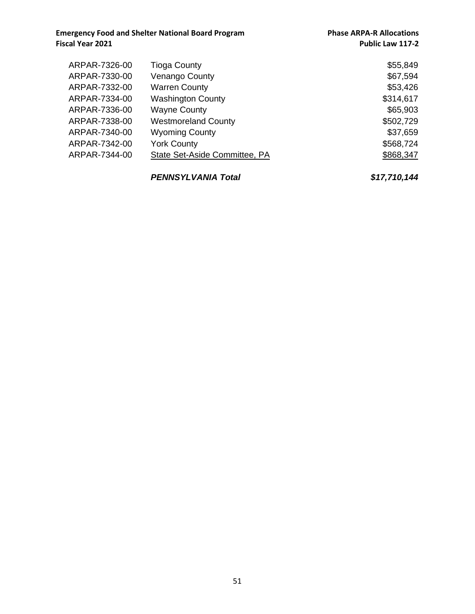| ARPAR-7326-00 | <b>Tioga County</b>           | \$55,849  |
|---------------|-------------------------------|-----------|
| ARPAR-7330-00 | Venango County                | \$67,594  |
| ARPAR-7332-00 | <b>Warren County</b>          | \$53,426  |
| ARPAR-7334-00 | <b>Washington County</b>      | \$314,617 |
| ARPAR-7336-00 | <b>Wayne County</b>           | \$65,903  |
| ARPAR-7338-00 | <b>Westmoreland County</b>    | \$502,729 |
| ARPAR-7340-00 | <b>Wyoming County</b>         | \$37,659  |
| ARPAR-7342-00 | <b>York County</b>            | \$568,724 |
| ARPAR-7344-00 | State Set-Aside Committee, PA | \$868,347 |
|               |                               |           |
|               |                               |           |

*PENNSYLVANIA Total \$17,710,144*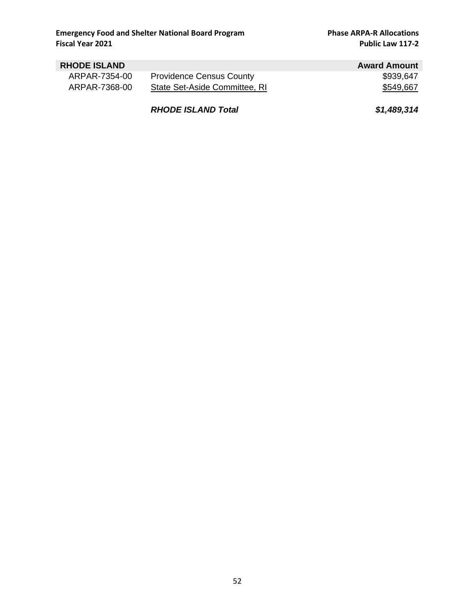| <b>RHODE ISLAND</b> |                                 | <b>Award Amount</b> |
|---------------------|---------------------------------|---------------------|
| ARPAR-7354-00       | <b>Providence Census County</b> | \$939,647           |
| ARPAR-7368-00       | State Set-Aside Committee, RI   | \$549,667           |
|                     | <b>RHODE ISLAND Total</b>       | \$1,489,314         |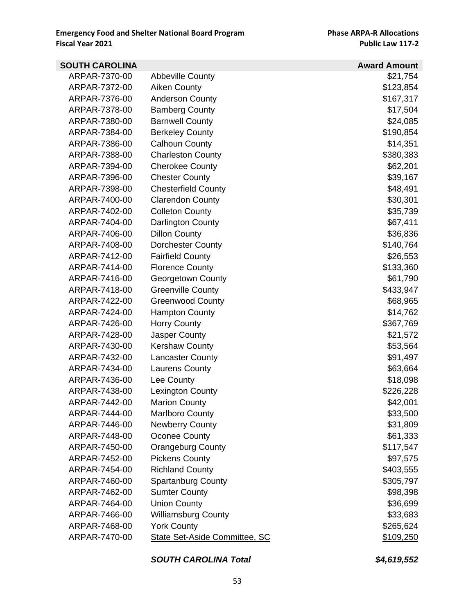| <b>SOUTH CAROLINA</b> |                               | <b>Award Amount</b> |
|-----------------------|-------------------------------|---------------------|
| ARPAR-7370-00         | <b>Abbeville County</b>       | \$21,754            |
| ARPAR-7372-00         | Aiken County                  | \$123,854           |
| ARPAR-7376-00         | <b>Anderson County</b>        | \$167,317           |
| ARPAR-7378-00         | <b>Bamberg County</b>         | \$17,504            |
| ARPAR-7380-00         | <b>Barnwell County</b>        | \$24,085            |
| ARPAR-7384-00         | <b>Berkeley County</b>        | \$190,854           |
| ARPAR-7386-00         | <b>Calhoun County</b>         | \$14,351            |
| ARPAR-7388-00         | <b>Charleston County</b>      | \$380,383           |
| ARPAR-7394-00         | <b>Cherokee County</b>        | \$62,201            |
| ARPAR-7396-00         | <b>Chester County</b>         | \$39,167            |
| ARPAR-7398-00         | <b>Chesterfield County</b>    | \$48,491            |
| ARPAR-7400-00         | <b>Clarendon County</b>       | \$30,301            |
| ARPAR-7402-00         | <b>Colleton County</b>        | \$35,739            |
| ARPAR-7404-00         | Darlington County             | \$67,411            |
| ARPAR-7406-00         | <b>Dillon County</b>          | \$36,836            |
| ARPAR-7408-00         | Dorchester County             | \$140,764           |
| ARPAR-7412-00         | <b>Fairfield County</b>       | \$26,553            |
| ARPAR-7414-00         | <b>Florence County</b>        | \$133,360           |
| ARPAR-7416-00         | Georgetown County             | \$61,790            |
| ARPAR-7418-00         | <b>Greenville County</b>      | \$433,947           |
| ARPAR-7422-00         | <b>Greenwood County</b>       | \$68,965            |
| ARPAR-7424-00         | <b>Hampton County</b>         | \$14,762            |
| ARPAR-7426-00         | <b>Horry County</b>           | \$367,769           |
| ARPAR-7428-00         | Jasper County                 | \$21,572            |
| ARPAR-7430-00         | <b>Kershaw County</b>         | \$53,564            |
| ARPAR-7432-00         | <b>Lancaster County</b>       | \$91,497            |
| ARPAR-7434-00         | <b>Laurens County</b>         | \$63,664            |
| ARPAR-7436-00         | Lee County                    | \$18,098            |
| ARPAR-7438-00         | <b>Lexington County</b>       | \$226,228           |
| ARPAR-7442-00         | <b>Marion County</b>          | \$42,001            |
| ARPAR-7444-00         | <b>Marlboro County</b>        | \$33,500            |
| ARPAR-7446-00         | <b>Newberry County</b>        | \$31,809            |
| ARPAR-7448-00         | Oconee County                 | \$61,333            |
| ARPAR-7450-00         | <b>Orangeburg County</b>      | \$117,547           |
| ARPAR-7452-00         | <b>Pickens County</b>         | \$97,575            |
| ARPAR-7454-00         | <b>Richland County</b>        | \$403,555           |
| ARPAR-7460-00         | <b>Spartanburg County</b>     | \$305,797           |
| ARPAR-7462-00         | <b>Sumter County</b>          | \$98,398            |
| ARPAR-7464-00         | <b>Union County</b>           | \$36,699            |
| ARPAR-7466-00         | <b>Williamsburg County</b>    | \$33,683            |
| ARPAR-7468-00         | <b>York County</b>            | \$265,624           |
| ARPAR-7470-00         | State Set-Aside Committee, SC | \$109,250           |

#### *SOUTH CAROLINA Total \$4,619,552*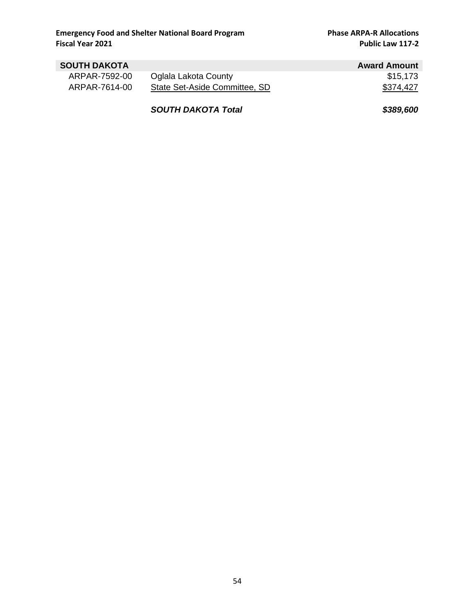| <b>SOUTH DAKOTA</b> |                               | <b>Award Amount</b> |
|---------------------|-------------------------------|---------------------|
| ARPAR-7592-00       | Oglala Lakota County          | \$15.173            |
| ARPAR-7614-00       | State Set-Aside Committee, SD | \$374,427           |
|                     | <b>SOUTH DAKOTA Total</b>     | \$389,600           |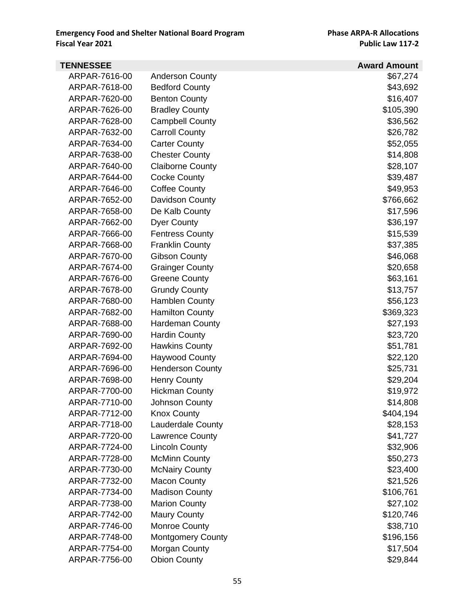| <b>TENNESSEE</b> |                          | <b>Award Amount</b> |
|------------------|--------------------------|---------------------|
| ARPAR-7616-00    | <b>Anderson County</b>   | \$67,274            |
| ARPAR-7618-00    | <b>Bedford County</b>    | \$43,692            |
| ARPAR-7620-00    | <b>Benton County</b>     | \$16,407            |
| ARPAR-7626-00    | <b>Bradley County</b>    | \$105,390           |
| ARPAR-7628-00    | <b>Campbell County</b>   | \$36,562            |
| ARPAR-7632-00    | <b>Carroll County</b>    | \$26,782            |
| ARPAR-7634-00    | <b>Carter County</b>     | \$52,055            |
| ARPAR-7638-00    | <b>Chester County</b>    | \$14,808            |
| ARPAR-7640-00    | <b>Claiborne County</b>  | \$28,107            |
| ARPAR-7644-00    | <b>Cocke County</b>      | \$39,487            |
| ARPAR-7646-00    | <b>Coffee County</b>     | \$49,953            |
| ARPAR-7652-00    | Davidson County          | \$766,662           |
| ARPAR-7658-00    | De Kalb County           | \$17,596            |
| ARPAR-7662-00    | <b>Dyer County</b>       | \$36,197            |
| ARPAR-7666-00    | <b>Fentress County</b>   | \$15,539            |
| ARPAR-7668-00    | <b>Franklin County</b>   | \$37,385            |
| ARPAR-7670-00    | <b>Gibson County</b>     | \$46,068            |
| ARPAR-7674-00    | <b>Grainger County</b>   | \$20,658            |
| ARPAR-7676-00    | <b>Greene County</b>     | \$63,161            |
| ARPAR-7678-00    | <b>Grundy County</b>     | \$13,757            |
| ARPAR-7680-00    | <b>Hamblen County</b>    | \$56,123            |
| ARPAR-7682-00    | <b>Hamilton County</b>   | \$369,323           |
| ARPAR-7688-00    | <b>Hardeman County</b>   | \$27,193            |
| ARPAR-7690-00    | <b>Hardin County</b>     | \$23,720            |
| ARPAR-7692-00    | <b>Hawkins County</b>    | \$51,781            |
| ARPAR-7694-00    | <b>Haywood County</b>    | \$22,120            |
| ARPAR-7696-00    | <b>Henderson County</b>  | \$25,731            |
| ARPAR-7698-00    | <b>Henry County</b>      | \$29,204            |
| ARPAR-7700-00    | <b>Hickman County</b>    | \$19,972            |
| ARPAR-7710-00    | Johnson County           | \$14,808            |
| ARPAR-7712-00    | <b>Knox County</b>       | \$404,194           |
| ARPAR-7718-00    | <b>Lauderdale County</b> | \$28,153            |
| ARPAR-7720-00    | <b>Lawrence County</b>   | \$41,727            |
| ARPAR-7724-00    | <b>Lincoln County</b>    | \$32,906            |
| ARPAR-7728-00    | <b>McMinn County</b>     | \$50,273            |
| ARPAR-7730-00    | <b>McNairy County</b>    | \$23,400            |
| ARPAR-7732-00    | <b>Macon County</b>      | \$21,526            |
| ARPAR-7734-00    | <b>Madison County</b>    | \$106,761           |
| ARPAR-7738-00    | <b>Marion County</b>     | \$27,102            |
| ARPAR-7742-00    | <b>Maury County</b>      | \$120,746           |
| ARPAR-7746-00    | Monroe County            | \$38,710            |
| ARPAR-7748-00    | <b>Montgomery County</b> | \$196,156           |
| ARPAR-7754-00    | Morgan County            | \$17,504            |
| ARPAR-7756-00    | <b>Obion County</b>      | \$29,844            |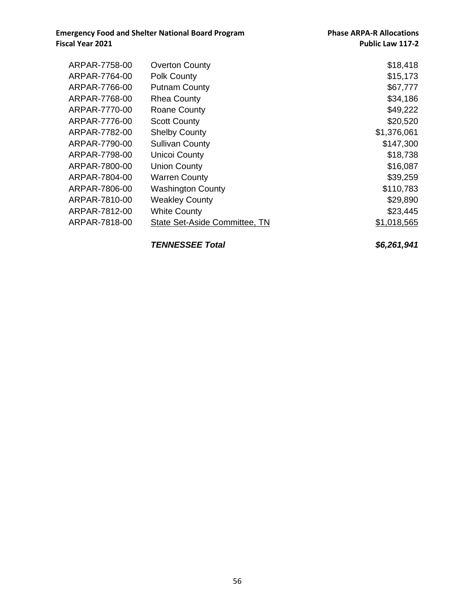| ARPAR-7758-00 | <b>Overton County</b>         | \$18,418    |
|---------------|-------------------------------|-------------|
| ARPAR-7764-00 | Polk County                   | \$15,173    |
| ARPAR-7766-00 | <b>Putnam County</b>          | \$67,777    |
| ARPAR-7768-00 | <b>Rhea County</b>            | \$34,186    |
| ARPAR-7770-00 | <b>Roane County</b>           | \$49,222    |
| ARPAR-7776-00 | <b>Scott County</b>           | \$20,520    |
| ARPAR-7782-00 | <b>Shelby County</b>          | \$1,376,061 |
| ARPAR-7790-00 | <b>Sullivan County</b>        | \$147,300   |
| ARPAR-7798-00 | Unicoi County                 | \$18,738    |
| ARPAR-7800-00 | <b>Union County</b>           | \$16,087    |
| ARPAR-7804-00 | <b>Warren County</b>          | \$39,259    |
| ARPAR-7806-00 | <b>Washington County</b>      | \$110,783   |
| ARPAR-7810-00 | <b>Weakley County</b>         | \$29,890    |
| ARPAR-7812-00 | <b>White County</b>           | \$23,445    |
| ARPAR-7818-00 | State Set-Aside Committee, TN | \$1,018,565 |

*TENNESSEE Total \$6,261,941*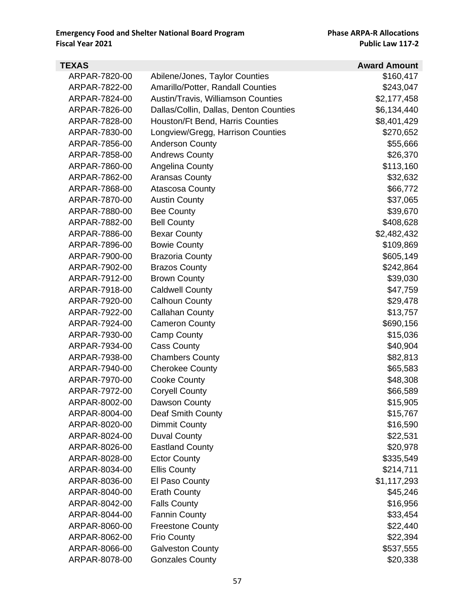| TEXAS         |                                        | <b>Award Amount</b> |
|---------------|----------------------------------------|---------------------|
| ARPAR-7820-00 | Abilene/Jones, Taylor Counties         | \$160,417           |
| ARPAR-7822-00 | Amarillo/Potter, Randall Counties      | \$243,047           |
| ARPAR-7824-00 | Austin/Travis, Williamson Counties     | \$2,177,458         |
| ARPAR-7826-00 | Dallas/Collin, Dallas, Denton Counties | \$6,134,440         |
| ARPAR-7828-00 | Houston/Ft Bend, Harris Counties       | \$8,401,429         |
| ARPAR-7830-00 | Longview/Gregg, Harrison Counties      | \$270,652           |
| ARPAR-7856-00 | <b>Anderson County</b>                 | \$55,666            |
| ARPAR-7858-00 | <b>Andrews County</b>                  | \$26,370            |
| ARPAR-7860-00 | Angelina County                        | \$113,160           |
| ARPAR-7862-00 | <b>Aransas County</b>                  | \$32,632            |
| ARPAR-7868-00 | <b>Atascosa County</b>                 | \$66,772            |
| ARPAR-7870-00 | <b>Austin County</b>                   | \$37,065            |
| ARPAR-7880-00 | <b>Bee County</b>                      | \$39,670            |
| ARPAR-7882-00 | <b>Bell County</b>                     | \$408,628           |
| ARPAR-7886-00 | <b>Bexar County</b>                    | \$2,482,432         |
| ARPAR-7896-00 | <b>Bowie County</b>                    | \$109,869           |
| ARPAR-7900-00 | <b>Brazoria County</b>                 | \$605,149           |
| ARPAR-7902-00 | <b>Brazos County</b>                   | \$242,864           |
| ARPAR-7912-00 | <b>Brown County</b>                    | \$39,030            |
| ARPAR-7918-00 | <b>Caldwell County</b>                 | \$47,759            |
| ARPAR-7920-00 | <b>Calhoun County</b>                  | \$29,478            |
| ARPAR-7922-00 | <b>Callahan County</b>                 | \$13,757            |
| ARPAR-7924-00 | <b>Cameron County</b>                  | \$690,156           |
| ARPAR-7930-00 | <b>Camp County</b>                     | \$15,036            |
| ARPAR-7934-00 | <b>Cass County</b>                     | \$40,904            |
| ARPAR-7938-00 | <b>Chambers County</b>                 | \$82,813            |
| ARPAR-7940-00 | <b>Cherokee County</b>                 | \$65,583            |
| ARPAR-7970-00 | <b>Cooke County</b>                    | \$48,308            |
| ARPAR-7972-00 | <b>Coryell County</b>                  | \$66,589            |
| ARPAR-8002-00 | Dawson County                          | \$15,905            |
| ARPAR-8004-00 | <b>Deaf Smith County</b>               | \$15,767            |
| ARPAR-8020-00 | Dimmit County                          | \$16,590            |
| ARPAR-8024-00 | <b>Duval County</b>                    | \$22,531            |
| ARPAR-8026-00 | <b>Eastland County</b>                 | \$20,978            |
| ARPAR-8028-00 | <b>Ector County</b>                    | \$335,549           |
| ARPAR-8034-00 | <b>Ellis County</b>                    | \$214,711           |
| ARPAR-8036-00 | El Paso County                         | \$1,117,293         |
| ARPAR-8040-00 | <b>Erath County</b>                    | \$45,246            |
| ARPAR-8042-00 | <b>Falls County</b>                    | \$16,956            |
| ARPAR-8044-00 | <b>Fannin County</b>                   | \$33,454            |
| ARPAR-8060-00 | <b>Freestone County</b>                | \$22,440            |
| ARPAR-8062-00 | <b>Frio County</b>                     | \$22,394            |
| ARPAR-8066-00 | <b>Galveston County</b>                | \$537,555           |
| ARPAR-8078-00 | <b>Gonzales County</b>                 | \$20,338            |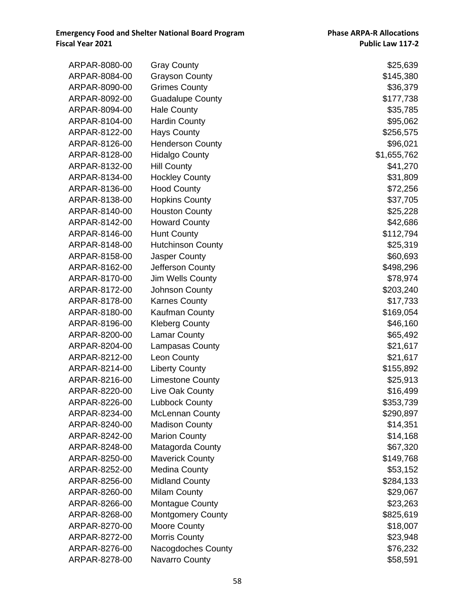| ARPAR-8080-00 | <b>Gray County</b>       | \$25,639    |
|---------------|--------------------------|-------------|
| ARPAR-8084-00 | <b>Grayson County</b>    | \$145,380   |
| ARPAR-8090-00 | <b>Grimes County</b>     | \$36,379    |
| ARPAR-8092-00 | <b>Guadalupe County</b>  | \$177,738   |
| ARPAR-8094-00 | <b>Hale County</b>       | \$35,785    |
| ARPAR-8104-00 | <b>Hardin County</b>     | \$95,062    |
| ARPAR-8122-00 | <b>Hays County</b>       | \$256,575   |
| ARPAR-8126-00 | <b>Henderson County</b>  | \$96,021    |
| ARPAR-8128-00 | <b>Hidalgo County</b>    | \$1,655,762 |
| ARPAR-8132-00 | <b>Hill County</b>       | \$41,270    |
| ARPAR-8134-00 | <b>Hockley County</b>    | \$31,809    |
| ARPAR-8136-00 | <b>Hood County</b>       | \$72,256    |
| ARPAR-8138-00 | <b>Hopkins County</b>    | \$37,705    |
| ARPAR-8140-00 | <b>Houston County</b>    | \$25,228    |
| ARPAR-8142-00 | <b>Howard County</b>     | \$42,686    |
| ARPAR-8146-00 | <b>Hunt County</b>       | \$112,794   |
| ARPAR-8148-00 | <b>Hutchinson County</b> | \$25,319    |
| ARPAR-8158-00 | Jasper County            | \$60,693    |
| ARPAR-8162-00 | Jefferson County         | \$498,296   |
| ARPAR-8170-00 | Jim Wells County         | \$78,974    |
| ARPAR-8172-00 | Johnson County           | \$203,240   |
| ARPAR-8178-00 | <b>Karnes County</b>     | \$17,733    |
| ARPAR-8180-00 | Kaufman County           | \$169,054   |
| ARPAR-8196-00 | <b>Kleberg County</b>    | \$46,160    |
| ARPAR-8200-00 | <b>Lamar County</b>      | \$65,492    |
| ARPAR-8204-00 | <b>Lampasas County</b>   | \$21,617    |
| ARPAR-8212-00 | Leon County              | \$21,617    |
| ARPAR-8214-00 | <b>Liberty County</b>    | \$155,892   |
| ARPAR-8216-00 | <b>Limestone County</b>  | \$25,913    |
| ARPAR-8220-00 | Live Oak County          | \$16,499    |
| ARPAR-8226-00 | <b>Lubbock County</b>    | \$353,739   |
| ARPAR-8234-00 | <b>McLennan County</b>   | \$290,897   |
| ARPAR-8240-00 | <b>Madison County</b>    | \$14,351    |
| ARPAR-8242-00 | <b>Marion County</b>     | \$14,168    |
| ARPAR-8248-00 | Matagorda County         | \$67,320    |
| ARPAR-8250-00 | <b>Maverick County</b>   | \$149,768   |
| ARPAR-8252-00 | <b>Medina County</b>     | \$53,152    |
| ARPAR-8256-00 | <b>Midland County</b>    | \$284,133   |
| ARPAR-8260-00 | <b>Milam County</b>      | \$29,067    |
| ARPAR-8266-00 | <b>Montague County</b>   | \$23,263    |
| ARPAR-8268-00 | <b>Montgomery County</b> | \$825,619   |
| ARPAR-8270-00 | <b>Moore County</b>      | \$18,007    |
| ARPAR-8272-00 | <b>Morris County</b>     | \$23,948    |
| ARPAR-8276-00 | Nacogdoches County       | \$76,232    |
| ARPAR-8278-00 | <b>Navarro County</b>    | \$58,591    |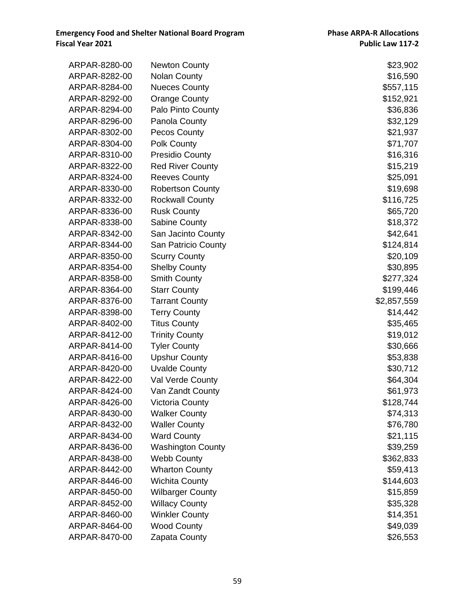| ARPAR-8280-00 | <b>Newton County</b>       | \$23,902    |
|---------------|----------------------------|-------------|
| ARPAR-8282-00 | <b>Nolan County</b>        | \$16,590    |
| ARPAR-8284-00 | <b>Nueces County</b>       | \$557,115   |
| ARPAR-8292-00 | <b>Orange County</b>       | \$152,921   |
| ARPAR-8294-00 | Palo Pinto County          | \$36,836    |
| ARPAR-8296-00 | Panola County              | \$32,129    |
| ARPAR-8302-00 | <b>Pecos County</b>        | \$21,937    |
| ARPAR-8304-00 | Polk County                | \$71,707    |
| ARPAR-8310-00 | <b>Presidio County</b>     | \$16,316    |
| ARPAR-8322-00 | <b>Red River County</b>    | \$15,219    |
| ARPAR-8324-00 | <b>Reeves County</b>       | \$25,091    |
| ARPAR-8330-00 | <b>Robertson County</b>    | \$19,698    |
| ARPAR-8332-00 | <b>Rockwall County</b>     | \$116,725   |
| ARPAR-8336-00 | <b>Rusk County</b>         | \$65,720    |
| ARPAR-8338-00 | Sabine County              | \$18,372    |
| ARPAR-8342-00 | San Jacinto County         | \$42,641    |
| ARPAR-8344-00 | <b>San Patricio County</b> | \$124,814   |
| ARPAR-8350-00 | <b>Scurry County</b>       | \$20,109    |
| ARPAR-8354-00 | <b>Shelby County</b>       | \$30,895    |
| ARPAR-8358-00 | <b>Smith County</b>        | \$277,324   |
| ARPAR-8364-00 | <b>Starr County</b>        | \$199,446   |
| ARPAR-8376-00 | <b>Tarrant County</b>      | \$2,857,559 |
| ARPAR-8398-00 | <b>Terry County</b>        | \$14,442    |
| ARPAR-8402-00 | <b>Titus County</b>        | \$35,465    |
| ARPAR-8412-00 | <b>Trinity County</b>      | \$19,012    |
| ARPAR-8414-00 | <b>Tyler County</b>        | \$30,666    |
| ARPAR-8416-00 | <b>Upshur County</b>       | \$53,838    |
| ARPAR-8420-00 | <b>Uvalde County</b>       | \$30,712    |
| ARPAR-8422-00 | Val Verde County           | \$64,304    |
| ARPAR-8424-00 | Van Zandt County           | \$61,973    |
| ARPAR-8426-00 | <b>Victoria County</b>     | \$128,744   |
| ARPAR-8430-00 | <b>Walker County</b>       | \$74,313    |
| ARPAR-8432-00 | <b>Waller County</b>       | \$76,780    |
| ARPAR-8434-00 | <b>Ward County</b>         | \$21,115    |
| ARPAR-8436-00 | <b>Washington County</b>   | \$39,259    |
| ARPAR-8438-00 | <b>Webb County</b>         | \$362,833   |
| ARPAR-8442-00 | <b>Wharton County</b>      | \$59,413    |
| ARPAR-8446-00 | <b>Wichita County</b>      | \$144,603   |
| ARPAR-8450-00 | <b>Wilbarger County</b>    | \$15,859    |
| ARPAR-8452-00 | <b>Willacy County</b>      | \$35,328    |
| ARPAR-8460-00 | <b>Winkler County</b>      | \$14,351    |
| ARPAR-8464-00 | <b>Wood County</b>         | \$49,039    |
| ARPAR-8470-00 | Zapata County              | \$26,553    |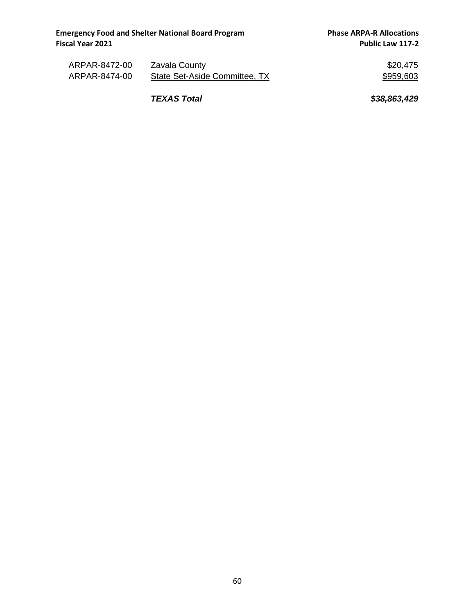| ARPAR-8472-00 | Zavala County                 | \$20,475  |
|---------------|-------------------------------|-----------|
| ARPAR-8474-00 | State Set-Aside Committee, TX | \$959,603 |

*TEXAS Total \$38,863,429*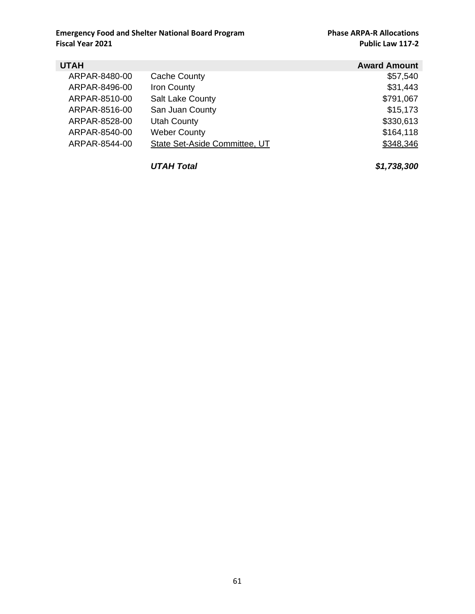| <b>UTAH</b>   |                               | <b>Award Amount</b> |
|---------------|-------------------------------|---------------------|
| ARPAR-8480-00 | <b>Cache County</b>           | \$57,540            |
| ARPAR-8496-00 | Iron County                   | \$31,443            |
| ARPAR-8510-00 | <b>Salt Lake County</b>       | \$791,067           |
| ARPAR-8516-00 | San Juan County               | \$15,173            |
| ARPAR-8528-00 | <b>Utah County</b>            | \$330,613           |
| ARPAR-8540-00 | <b>Weber County</b>           | \$164,118           |
| ARPAR-8544-00 | State Set-Aside Committee, UT | \$348,346           |
|               |                               |                     |

*UTAH Total \$1,738,300*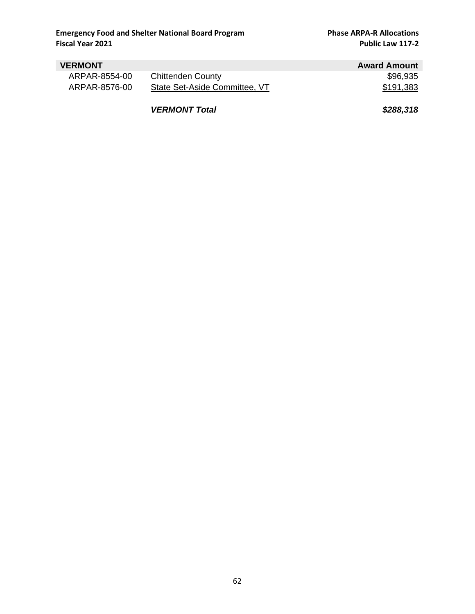| <b>VERMONT</b> |                               | <b>Award Amount</b> |
|----------------|-------------------------------|---------------------|
| ARPAR-8554-00  | <b>Chittenden County</b>      | \$96,935            |
| ARPAR-8576-00  | State Set-Aside Committee, VT | \$191,383           |
|                | <b>VERMONT Total</b>          | \$288,318           |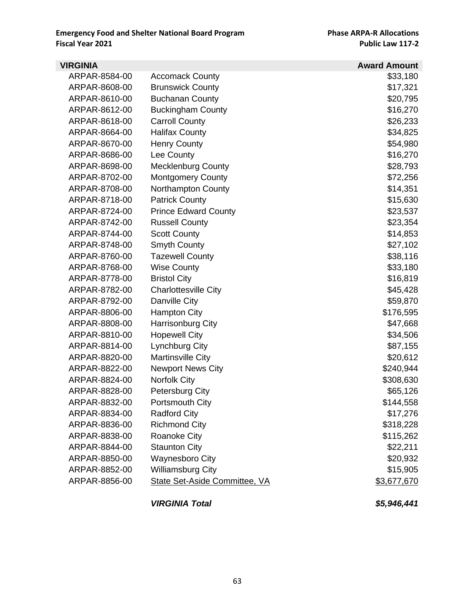| <b>VIRGINIA</b> |                               | <b>Award Amount</b> |
|-----------------|-------------------------------|---------------------|
| ARPAR-8584-00   | <b>Accomack County</b>        | \$33,180            |
| ARPAR-8608-00   | <b>Brunswick County</b>       | \$17,321            |
| ARPAR-8610-00   | <b>Buchanan County</b>        | \$20,795            |
| ARPAR-8612-00   | <b>Buckingham County</b>      | \$16,270            |
| ARPAR-8618-00   | <b>Carroll County</b>         | \$26,233            |
| ARPAR-8664-00   | <b>Halifax County</b>         | \$34,825            |
| ARPAR-8670-00   | <b>Henry County</b>           | \$54,980            |
| ARPAR-8686-00   | Lee County                    | \$16,270            |
| ARPAR-8698-00   | Mecklenburg County            | \$28,793            |
| ARPAR-8702-00   | <b>Montgomery County</b>      | \$72,256            |
| ARPAR-8708-00   | <b>Northampton County</b>     | \$14,351            |
| ARPAR-8718-00   | <b>Patrick County</b>         | \$15,630            |
| ARPAR-8724-00   | <b>Prince Edward County</b>   | \$23,537            |
| ARPAR-8742-00   | <b>Russell County</b>         | \$23,354            |
| ARPAR-8744-00   | <b>Scott County</b>           | \$14,853            |
| ARPAR-8748-00   | <b>Smyth County</b>           | \$27,102            |
| ARPAR-8760-00   | <b>Tazewell County</b>        | \$38,116            |
| ARPAR-8768-00   | <b>Wise County</b>            | \$33,180            |
| ARPAR-8778-00   | <b>Bristol City</b>           | \$16,819            |
| ARPAR-8782-00   | <b>Charlottesville City</b>   | \$45,428            |
| ARPAR-8792-00   | Danville City                 | \$59,870            |
| ARPAR-8806-00   | <b>Hampton City</b>           | \$176,595           |
| ARPAR-8808-00   | Harrisonburg City             | \$47,668            |
| ARPAR-8810-00   | <b>Hopewell City</b>          | \$34,506            |
| ARPAR-8814-00   | Lynchburg City                | \$87,155            |
| ARPAR-8820-00   | <b>Martinsville City</b>      | \$20,612            |
| ARPAR-8822-00   | <b>Newport News City</b>      | \$240,944           |
| ARPAR-8824-00   | Norfolk City                  | \$308,630           |
| ARPAR-8828-00   | <b>Petersburg City</b>        | \$65,126            |
| ARPAR-8832-00   | Portsmouth City               | \$144,558           |
| ARPAR-8834-00   | <b>Radford City</b>           | \$17,276            |
| ARPAR-8836-00   | <b>Richmond City</b>          | \$318,228           |
| ARPAR-8838-00   | <b>Roanoke City</b>           | \$115,262           |
| ARPAR-8844-00   | <b>Staunton City</b>          | \$22,211            |
| ARPAR-8850-00   | <b>Waynesboro City</b>        | \$20,932            |
| ARPAR-8852-00   | <b>Williamsburg City</b>      | \$15,905            |
| ARPAR-8856-00   | State Set-Aside Committee, VA | \$3,677,670         |
|                 | <b>VIRGINIA Total</b>         | \$5,946,441         |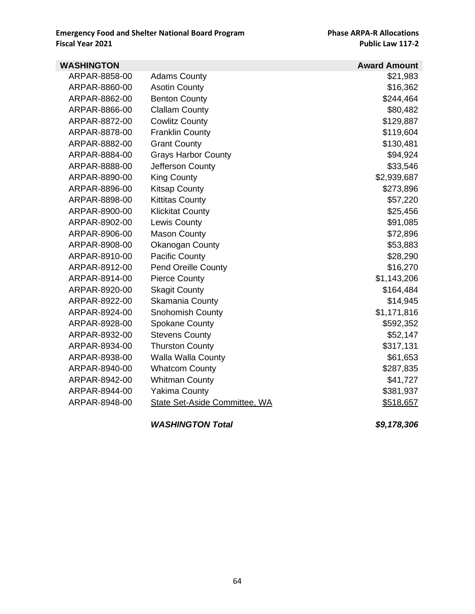| <b>WASHINGTON</b> |                               | <b>Award Amount</b> |
|-------------------|-------------------------------|---------------------|
| ARPAR-8858-00     | <b>Adams County</b>           | \$21,983            |
| ARPAR-8860-00     | <b>Asotin County</b>          | \$16,362            |
| ARPAR-8862-00     | <b>Benton County</b>          | \$244,464           |
| ARPAR-8866-00     | <b>Clallam County</b>         | \$80,482            |
| ARPAR-8872-00     | <b>Cowlitz County</b>         | \$129,887           |
| ARPAR-8878-00     | <b>Franklin County</b>        | \$119,604           |
| ARPAR-8882-00     | <b>Grant County</b>           | \$130,481           |
| ARPAR-8884-00     | <b>Grays Harbor County</b>    | \$94,924            |
| ARPAR-8888-00     | Jefferson County              | \$33,546            |
| ARPAR-8890-00     | <b>King County</b>            | \$2,939,687         |
| ARPAR-8896-00     | <b>Kitsap County</b>          | \$273,896           |
| ARPAR-8898-00     | <b>Kittitas County</b>        | \$57,220            |
| ARPAR-8900-00     | <b>Klickitat County</b>       | \$25,456            |
| ARPAR-8902-00     | Lewis County                  | \$91,085            |
| ARPAR-8906-00     | <b>Mason County</b>           | \$72,896            |
| ARPAR-8908-00     | Okanogan County               | \$53,883            |
| ARPAR-8910-00     | <b>Pacific County</b>         | \$28,290            |
| ARPAR-8912-00     | <b>Pend Oreille County</b>    | \$16,270            |
| ARPAR-8914-00     | <b>Pierce County</b>          | \$1,143,206         |
| ARPAR-8920-00     | <b>Skagit County</b>          | \$164,484           |
| ARPAR-8922-00     | Skamania County               | \$14,945            |
| ARPAR-8924-00     | <b>Snohomish County</b>       | \$1,171,816         |
| ARPAR-8928-00     | <b>Spokane County</b>         | \$592,352           |
| ARPAR-8932-00     | <b>Stevens County</b>         | \$52,147            |
| ARPAR-8934-00     | <b>Thurston County</b>        | \$317,131           |
| ARPAR-8938-00     | <b>Walla Walla County</b>     | \$61,653            |
| ARPAR-8940-00     | <b>Whatcom County</b>         | \$287,835           |
| ARPAR-8942-00     | <b>Whitman County</b>         | \$41,727            |
| ARPAR-8944-00     | <b>Yakima County</b>          | \$381,937           |
| ARPAR-8948-00     | State Set-Aside Committee, WA | \$518,657           |
|                   | <b>WASHINGTON Total</b>       | \$9,178,306         |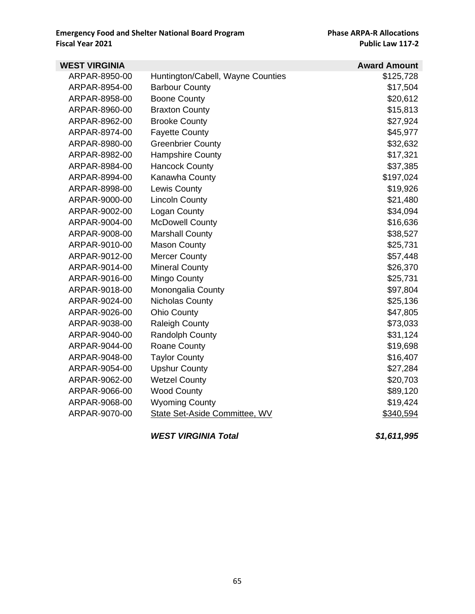| <b>WEST VIRGINIA</b> |                                   | <b>Award Amount</b> |
|----------------------|-----------------------------------|---------------------|
| ARPAR-8950-00        | Huntington/Cabell, Wayne Counties | \$125,728           |
| ARPAR-8954-00        | <b>Barbour County</b>             | \$17,504            |
| ARPAR-8958-00        | <b>Boone County</b>               | \$20,612            |
| ARPAR-8960-00        | <b>Braxton County</b>             | \$15,813            |
| ARPAR-8962-00        | <b>Brooke County</b>              | \$27,924            |
| ARPAR-8974-00        | <b>Fayette County</b>             | \$45,977            |
| ARPAR-8980-00        | <b>Greenbrier County</b>          | \$32,632            |
| ARPAR-8982-00        | <b>Hampshire County</b>           | \$17,321            |
| ARPAR-8984-00        | <b>Hancock County</b>             | \$37,385            |
| ARPAR-8994-00        | Kanawha County                    | \$197,024           |
| ARPAR-8998-00        | Lewis County                      | \$19,926            |
| ARPAR-9000-00        | <b>Lincoln County</b>             | \$21,480            |
| ARPAR-9002-00        | Logan County                      | \$34,094            |
| ARPAR-9004-00        | <b>McDowell County</b>            | \$16,636            |
| ARPAR-9008-00        | <b>Marshall County</b>            | \$38,527            |
| ARPAR-9010-00        | <b>Mason County</b>               | \$25,731            |
| ARPAR-9012-00        | <b>Mercer County</b>              | \$57,448            |
| ARPAR-9014-00        | <b>Mineral County</b>             | \$26,370            |
| ARPAR-9016-00        | Mingo County                      | \$25,731            |
| ARPAR-9018-00        | Monongalia County                 | \$97,804            |
| ARPAR-9024-00        | Nicholas County                   | \$25,136            |
| ARPAR-9026-00        | <b>Ohio County</b>                | \$47,805            |
| ARPAR-9038-00        | <b>Raleigh County</b>             | \$73,033            |
| ARPAR-9040-00        | <b>Randolph County</b>            | \$31,124            |
| ARPAR-9044-00        | Roane County                      | \$19,698            |
| ARPAR-9048-00        | <b>Taylor County</b>              | \$16,407            |
| ARPAR-9054-00        | <b>Upshur County</b>              | \$27,284            |
| ARPAR-9062-00        | <b>Wetzel County</b>              | \$20,703            |
| ARPAR-9066-00        | <b>Wood County</b>                | \$89,120            |
| ARPAR-9068-00        | <b>Wyoming County</b>             | \$19,424            |
| ARPAR-9070-00        | State Set-Aside Committee, WV     | \$340,594           |
|                      | <b>WEST VIRGINIA Total</b>        | \$1,611,995         |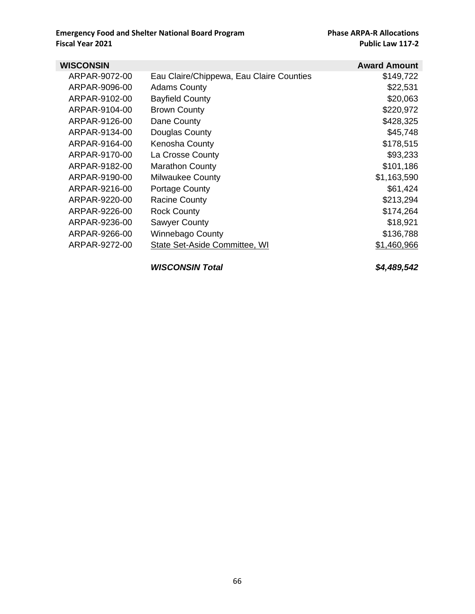| WISCONSIN     |                                          | <b>Award Amount</b> |
|---------------|------------------------------------------|---------------------|
| ARPAR-9072-00 | Eau Claire/Chippewa, Eau Claire Counties | \$149,722           |
| ARPAR-9096-00 | <b>Adams County</b>                      | \$22,531            |
| ARPAR-9102-00 | <b>Bayfield County</b>                   | \$20,063            |
| ARPAR-9104-00 | <b>Brown County</b>                      | \$220,972           |
| ARPAR-9126-00 | Dane County                              | \$428,325           |
| ARPAR-9134-00 | Douglas County                           | \$45,748            |
| ARPAR-9164-00 | Kenosha County                           | \$178,515           |
| ARPAR-9170-00 | La Crosse County                         | \$93,233            |
| ARPAR-9182-00 | <b>Marathon County</b>                   | \$101,186           |
| ARPAR-9190-00 | <b>Milwaukee County</b>                  | \$1,163,590         |
| ARPAR-9216-00 | <b>Portage County</b>                    | \$61,424            |
| ARPAR-9220-00 | <b>Racine County</b>                     | \$213,294           |
| ARPAR-9226-00 | <b>Rock County</b>                       | \$174,264           |
| ARPAR-9236-00 | <b>Sawyer County</b>                     | \$18,921            |
| ARPAR-9266-00 | Winnebago County                         | \$136,788           |
| ARPAR-9272-00 | State Set-Aside Committee, WI            | \$1,460,966         |

*WISCONSIN Total \$4,489,542*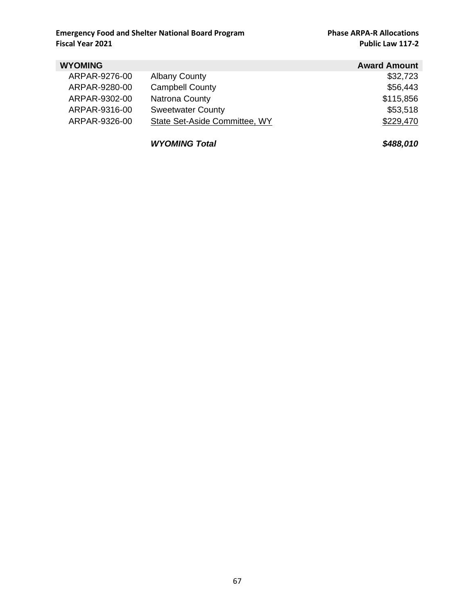| <b>WYOMING</b> |                               | <b>Award Amount</b> |
|----------------|-------------------------------|---------------------|
| ARPAR-9276-00  | <b>Albany County</b>          | \$32,723            |
| ARPAR-9280-00  | <b>Campbell County</b>        | \$56,443            |
| ARPAR-9302-00  | <b>Natrona County</b>         | \$115,856           |
| ARPAR-9316-00  | <b>Sweetwater County</b>      | \$53,518            |
| ARPAR-9326-00  | State Set-Aside Committee, WY | \$229,470           |
|                |                               |                     |

*WYOMING Total \$488,010*